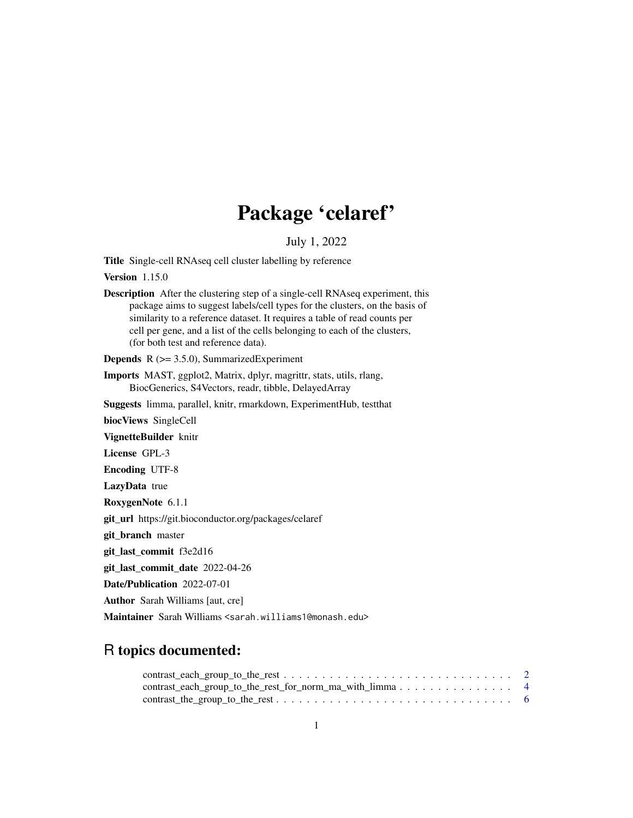# Package 'celaref'

## July 1, 2022

Title Single-cell RNAseq cell cluster labelling by reference

Version 1.15.0

Description After the clustering step of a single-cell RNAseq experiment, this package aims to suggest labels/cell types for the clusters, on the basis of similarity to a reference dataset. It requires a table of read counts per cell per gene, and a list of the cells belonging to each of the clusters, (for both test and reference data).

**Depends**  $R$  ( $>= 3.5.0$ ), SummarizedExperiment

- Imports MAST, ggplot2, Matrix, dplyr, magrittr, stats, utils, rlang, BiocGenerics, S4Vectors, readr, tibble, DelayedArray
- Suggests limma, parallel, knitr, rmarkdown, ExperimentHub, testthat

biocViews SingleCell

VignetteBuilder knitr

License GPL-3

Encoding UTF-8

LazyData true

RoxygenNote 6.1.1

git\_url https://git.bioconductor.org/packages/celaref

git\_branch master

git\_last\_commit f3e2d16

git\_last\_commit\_date 2022-04-26

Date/Publication 2022-07-01

Author Sarah Williams [aut, cre]

Maintainer Sarah Williams <sarah.williams1@monash.edu>

## R topics documented:

| contrast_each_group_to_the_rest_for_norm_ma_with_limma 4                                            |  |
|-----------------------------------------------------------------------------------------------------|--|
| $contrast\_the\_group\_to\_the\_rest \dots \dots \dots \dots \dots \dots \dots \dots \dots \dots$ 6 |  |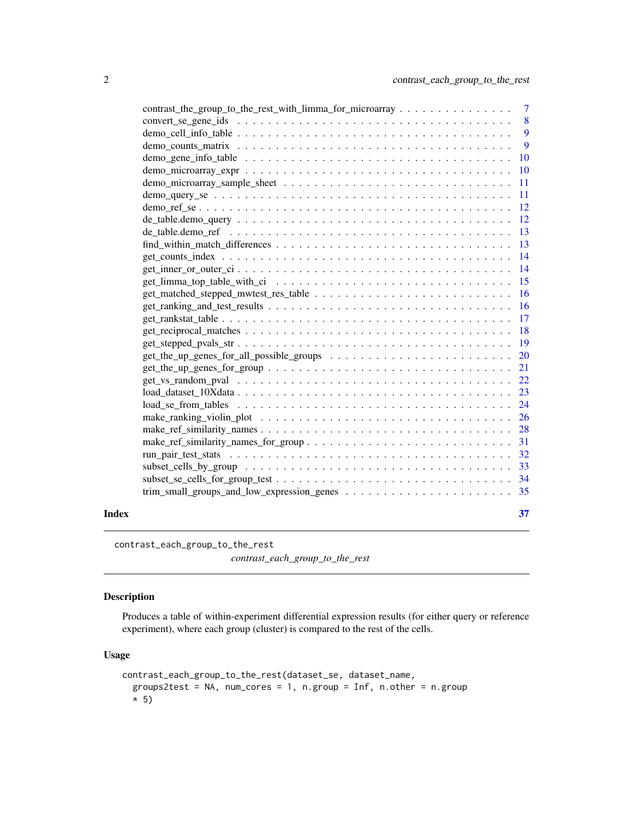<span id="page-1-0"></span>

|       | contrast_the_group_to_the_rest_with_limma_for_microarray 7                                                    |                |
|-------|---------------------------------------------------------------------------------------------------------------|----------------|
|       |                                                                                                               | 8              |
|       |                                                                                                               |                |
|       |                                                                                                               | $\overline{9}$ |
|       |                                                                                                               |                |
|       |                                                                                                               |                |
|       |                                                                                                               |                |
|       |                                                                                                               |                |
|       |                                                                                                               |                |
|       | $de_table.demo_query \ldots \ldots \ldots \ldots \ldots \ldots \ldots \ldots \ldots \ldots \ldots \ldots 12$  |                |
|       | de_table.demo_ref $\dots\dots\dots\dots\dots\dots\dots\dots\dots\dots\dots\dots\dots\dots\dots\dots$          |                |
|       |                                                                                                               |                |
|       |                                                                                                               |                |
|       |                                                                                                               |                |
|       |                                                                                                               |                |
|       |                                                                                                               |                |
|       |                                                                                                               |                |
|       |                                                                                                               |                |
|       |                                                                                                               |                |
|       |                                                                                                               |                |
|       |                                                                                                               |                |
|       |                                                                                                               |                |
|       |                                                                                                               |                |
|       |                                                                                                               |                |
|       | $loadse from__ tables        24$                                                                              |                |
|       |                                                                                                               |                |
|       |                                                                                                               |                |
|       |                                                                                                               |                |
|       |                                                                                                               |                |
|       |                                                                                                               |                |
|       | $subset\_se\_cells\_for\_group\_test \dots \dots \dots \dots \dots \dots \dots \dots \dots \dots \dots \dots$ |                |
|       |                                                                                                               |                |
| Index |                                                                                                               | 37             |
|       |                                                                                                               |                |

<span id="page-1-1"></span>contrast\_each\_group\_to\_the\_rest *contrast\_each\_group\_to\_the\_rest*

## Description

Produces a table of within-experiment differential expression results (for either query or reference experiment), where each group (cluster) is compared to the rest of the cells.

```
contrast_each_group_to_the_rest(dataset_se, dataset_name,
 groups2test = NA, num_cores = 1, n.group = Inf, n.other = n.group
  * 5)
```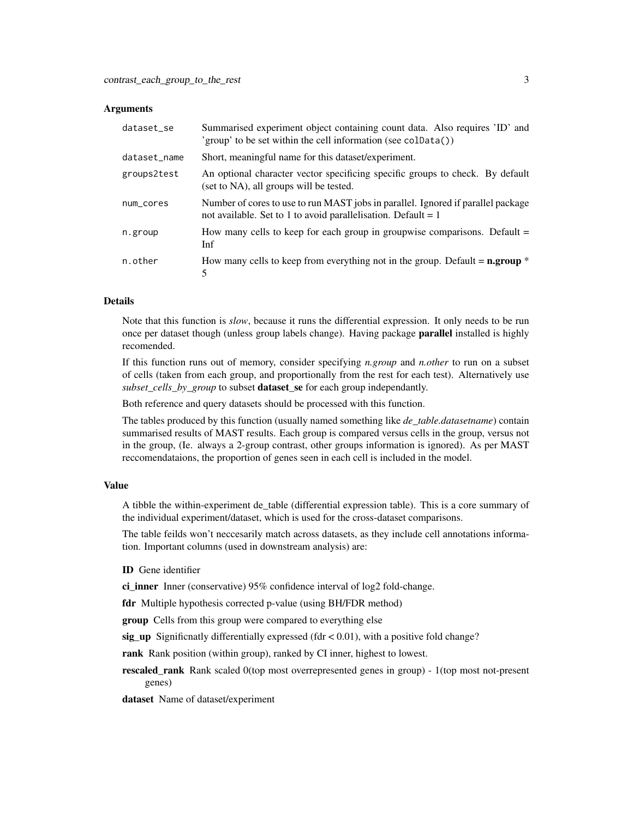| dataset_se   | Summarised experiment object containing count data. Also requires 'ID' and<br>'group' to be set within the cell information (see colData())         |
|--------------|-----------------------------------------------------------------------------------------------------------------------------------------------------|
| dataset_name | Short, meaningful name for this dataset/experiment.                                                                                                 |
| groups2test  | An optional character vector specificing specific groups to check. By default<br>(set to NA), all groups will be tested.                            |
| num_cores    | Number of cores to use to run MAST jobs in parallel. Ignored if parallel package<br>not available. Set to 1 to avoid parallelisation. Default = $1$ |
| n.group      | How many cells to keep for each group in groupwise comparisons. Default $=$<br>Inf                                                                  |
| n.other      | How many cells to keep from everything not in the group. Default = $n.group$ *<br>5                                                                 |

#### Details

Note that this function is *slow*, because it runs the differential expression. It only needs to be run once per dataset though (unless group labels change). Having package **parallel** installed is highly recomended.

If this function runs out of memory, consider specifying *n.group* and *n.other* to run on a subset of cells (taken from each group, and proportionally from the rest for each test). Alternatively use *subset\_cells\_by\_group* to subset dataset\_se for each group independantly.

Both reference and query datasets should be processed with this function.

The tables produced by this function (usually named something like *de\_table.datasetname*) contain summarised results of MAST results. Each group is compared versus cells in the group, versus not in the group, (Ie. always a 2-group contrast, other groups information is ignored). As per MAST reccomendataions, the proportion of genes seen in each cell is included in the model.

#### Value

A tibble the within-experiment de\_table (differential expression table). This is a core summary of the individual experiment/dataset, which is used for the cross-dataset comparisons.

The table feilds won't neccesarily match across datasets, as they include cell annotations information. Important columns (used in downstream analysis) are:

#### ID Gene identifier

ci\_inner Inner (conservative) 95% confidence interval of log2 fold-change.

fdr Multiple hypothesis corrected p-value (using BH/FDR method)

**group** Cells from this group were compared to everything else

sig up Significnatly differentially expressed (fdr  $< 0.01$ ), with a positive fold change?

rank Rank position (within group), ranked by CI inner, highest to lowest.

rescaled\_rank Rank scaled 0(top most overrepresented genes in group) - 1(top most not-present genes)

dataset Name of dataset/experiment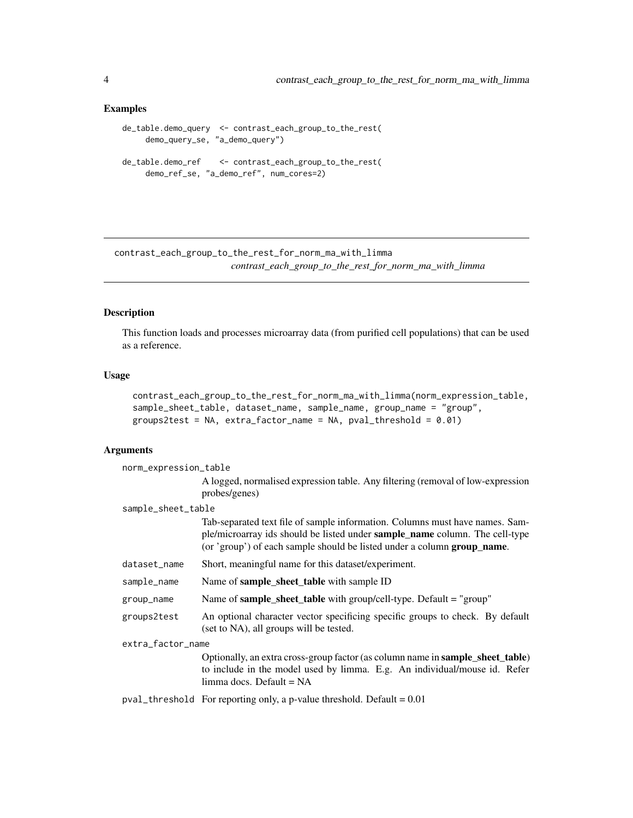## Examples

```
de_table.demo_query <- contrast_each_group_to_the_rest(
     demo_query_se, "a_demo_query")
de_table.demo_ref <- contrast_each_group_to_the_rest(
    demo_ref_se, "a_demo_ref", num_cores=2)
```
<span id="page-3-1"></span>contrast\_each\_group\_to\_the\_rest\_for\_norm\_ma\_with\_limma *contrast\_each\_group\_to\_the\_rest\_for\_norm\_ma\_with\_limma*

## Description

This function loads and processes microarray data (from purified cell populations) that can be used as a reference.

## Usage

```
contrast_each_group_to_the_rest_for_norm_ma_with_limma(norm_expression_table,
sample_sheet_table, dataset_name, sample_name, group_name = "group",
groups2test = NA, extra_factor_name = NA, pval_threshold = 0.01)
```
## Arguments

| norm_expression_table |                                                                                                                                                                                                                                        |  |
|-----------------------|----------------------------------------------------------------------------------------------------------------------------------------------------------------------------------------------------------------------------------------|--|
|                       | A logged, normalised expression table. Any filtering (removal of low-expression<br>probes/genes)                                                                                                                                       |  |
| sample_sheet_table    |                                                                                                                                                                                                                                        |  |
|                       | Tab-separated text file of sample information. Columns must have names. Sam-<br>ple/microarray ids should be listed under sample_name column. The cell-type<br>(or 'group') of each sample should be listed under a column group_name. |  |
| dataset_name          | Short, meaningful name for this dataset/experiment.                                                                                                                                                                                    |  |
| sample_name           | Name of <b>sample_sheet_table</b> with sample ID                                                                                                                                                                                       |  |
| group_name            | Name of sample_sheet_table with group/cell-type. Default = "group"                                                                                                                                                                     |  |
| groups2test           | An optional character vector specificing specific groups to check. By default<br>(set to NA), all groups will be tested.                                                                                                               |  |
| extra_factor_name     |                                                                                                                                                                                                                                        |  |
|                       | Optionally, an extra cross-group factor (as column name in <b>sample_sheet_table</b> )<br>to include in the model used by limma. E.g. An individual/mouse id. Refer<br>$limma$ docs. Default = NA                                      |  |
|                       | $pval_{\text{th}}$ threshold For reporting only, a p-value threshold. Default = 0.01                                                                                                                                                   |  |

<span id="page-3-0"></span>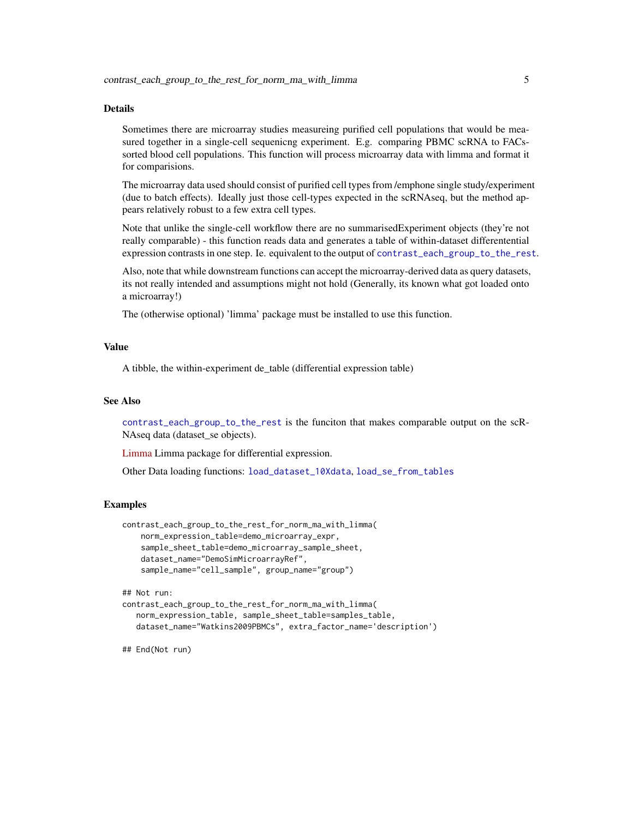#### <span id="page-4-0"></span>Details

Sometimes there are microarray studies measureing purified cell populations that would be measured together in a single-cell sequenicng experiment. E.g. comparing PBMC scRNA to FACssorted blood cell populations. This function will process microarray data with limma and format it for comparisions.

The microarray data used should consist of purified cell types from /emphone single study/experiment (due to batch effects). Ideally just those cell-types expected in the scRNAseq, but the method appears relatively robust to a few extra cell types.

Note that unlike the single-cell workflow there are no summarisedExperiment objects (they're not really comparable) - this function reads data and generates a table of within-dataset differentential expression contrasts in one step. Ie. equivalent to the output of [contrast\\_each\\_group\\_to\\_the\\_rest](#page-1-1).

Also, note that while downstream functions can accept the microarray-derived data as query datasets, its not really intended and assumptions might not hold (Generally, its known what got loaded onto a microarray!)

The (otherwise optional) 'limma' package must be installed to use this function.

## Value

A tibble, the within-experiment de\_table (differential expression table)

#### See Also

[contrast\\_each\\_group\\_to\\_the\\_rest](#page-1-1) is the funciton that makes comparable output on the scR-NAseq data (dataset\_se objects).

[Limma](https://bioconductor.org/packages/release/bioc/html/limma.html) Limma package for differential expression.

Other Data loading functions: [load\\_dataset\\_10Xdata](#page-22-1), [load\\_se\\_from\\_tables](#page-23-1)

#### Examples

```
contrast_each_group_to_the_rest_for_norm_ma_with_limma(
   norm_expression_table=demo_microarray_expr,
   sample_sheet_table=demo_microarray_sample_sheet,
   dataset_name="DemoSimMicroarrayRef",
    sample_name="cell_sample", group_name="group")
```
## Not run:

```
contrast_each_group_to_the_rest_for_norm_ma_with_limma(
  norm_expression_table, sample_sheet_table=samples_table,
  dataset_name="Watkins2009PBMCs", extra_factor_name='description')
```
## End(Not run)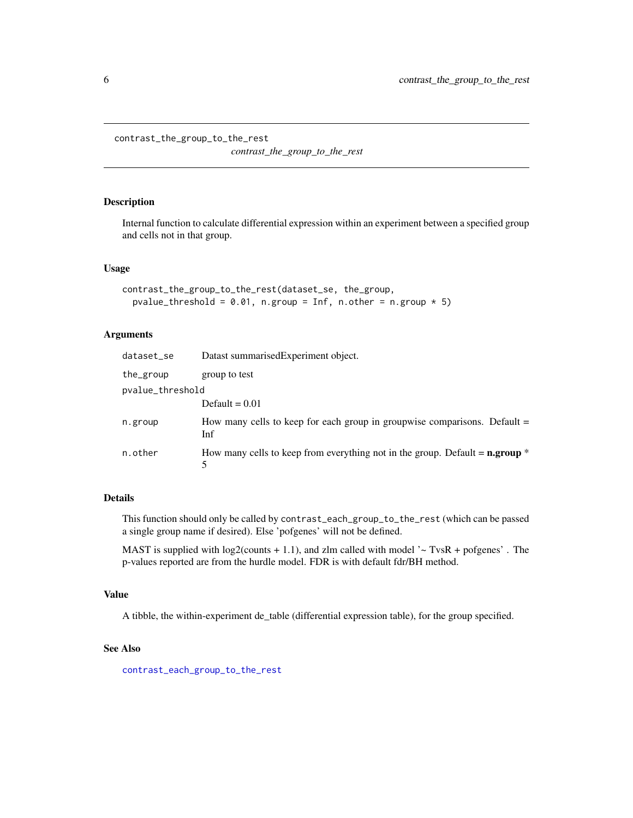<span id="page-5-0"></span>contrast\_the\_group\_to\_the\_rest

*contrast\_the\_group\_to\_the\_rest*

## Description

Internal function to calculate differential expression within an experiment between a specified group and cells not in that group.

## Usage

```
contrast_the_group_to_the_rest(dataset_se, the_group,
  pvalue_threshold = 0.01, n.group = Inf, n.other = n.group * 5)
```
## Arguments

| dataset_se       | Datast summarised Experiment object.                                                             |
|------------------|--------------------------------------------------------------------------------------------------|
| the_group        | group to test                                                                                    |
| pvalue_threshold |                                                                                                  |
|                  | Default = $0.01$                                                                                 |
| n.group          | How many cells to keep for each group in groupwise comparisons. Default $=$<br>Inf               |
| n.other          | How many cells to keep from everything not in the group. Default = $\mathbf{n}.\mathbf{group}$ * |

## Details

This function should only be called by contrast\_each\_group\_to\_the\_rest (which can be passed a single group name if desired). Else 'pofgenes' will not be defined.

MAST is supplied with  $log2$ (counts + 1.1), and zlm called with model  $\sim$  TvsR + pofgenes'. The p-values reported are from the hurdle model. FDR is with default fdr/BH method.

#### Value

A tibble, the within-experiment de\_table (differential expression table), for the group specified.

#### See Also

[contrast\\_each\\_group\\_to\\_the\\_rest](#page-1-1)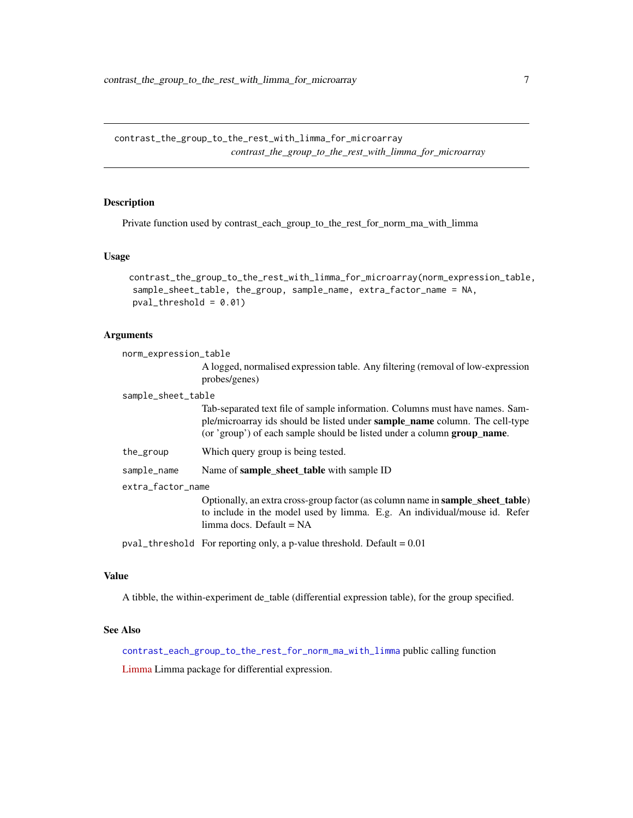<span id="page-6-1"></span><span id="page-6-0"></span>contrast\_the\_group\_to\_the\_rest\_with\_limma\_for\_microarray *contrast\_the\_group\_to\_the\_rest\_with\_limma\_for\_microarray*

## Description

Private function used by contrast\_each\_group\_to\_the\_rest\_for\_norm\_ma\_with\_limma

## Usage

```
contrast_the_group_to_the_rest_with_limma_for_microarray(norm_expression_table,
sample_sheet_table, the_group, sample_name, extra_factor_name = NA,
pval_{th}reshold = 0.01)
```
## Arguments

norm\_expression\_table

|                    | A logged, normalised expression table. Any filtering (removal of low-expression<br>probes/genes)                                                                                                                                                      |  |
|--------------------|-------------------------------------------------------------------------------------------------------------------------------------------------------------------------------------------------------------------------------------------------------|--|
| sample_sheet_table |                                                                                                                                                                                                                                                       |  |
|                    | Tab-separated text file of sample information. Columns must have names. Sam-<br>ple/microarray ids should be listed under <b>sample_name</b> column. The cell-type<br>(or 'group') of each sample should be listed under a column <b>group_name</b> . |  |
| the_group          | Which query group is being tested.                                                                                                                                                                                                                    |  |
| sample_name        | Name of <b>sample_sheet_table</b> with sample ID                                                                                                                                                                                                      |  |
| extra_factor_name  |                                                                                                                                                                                                                                                       |  |
|                    | Optionally, an extra cross-group factor (as column name in <b>sample_sheet_table</b> )<br>to include in the model used by limma. E.g. An individual/mouse id. Refer<br>$limma$ docs. Default = NA                                                     |  |
|                    | $pval_{\text{th}}$ reshold For reporting only, a p-value threshold. Default = 0.01                                                                                                                                                                    |  |

#### Value

A tibble, the within-experiment de\_table (differential expression table), for the group specified.

## See Also

[contrast\\_each\\_group\\_to\\_the\\_rest\\_for\\_norm\\_ma\\_with\\_limma](#page-3-1) public calling function

[Limma](https://bioconductor.org/packages/release/bioc/html/limma.html) Limma package for differential expression.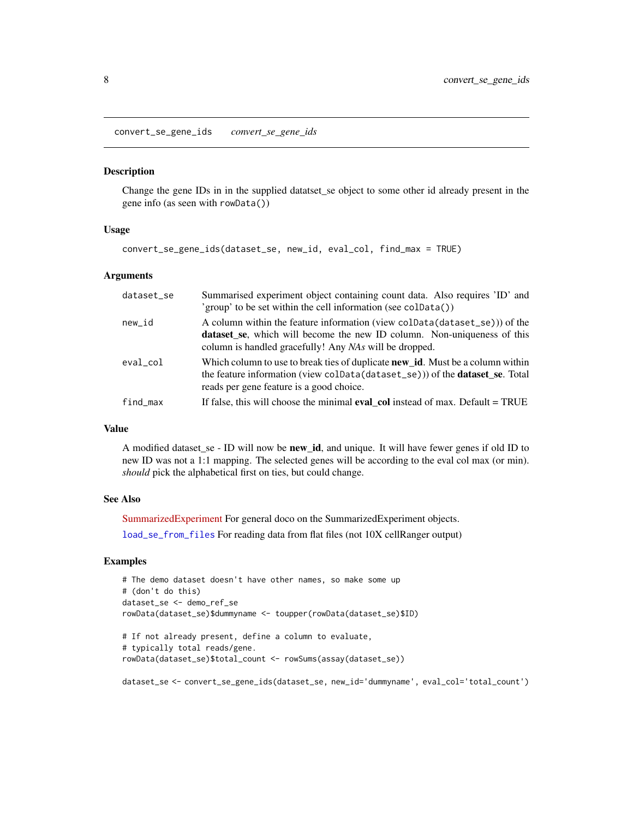<span id="page-7-1"></span><span id="page-7-0"></span>convert\_se\_gene\_ids *convert\_se\_gene\_ids*

## **Description**

Change the gene IDs in in the supplied datatset\_se object to some other id already present in the gene info (as seen with rowData())

#### Usage

```
convert_se_gene_ids(dataset_se, new_id, eval_col, find_max = TRUE)
```
#### Arguments

| dataset_se | Summarised experiment object containing count data. Also requires 'ID' and<br>'group' to be set within the cell information (see coldata())                                                                               |
|------------|---------------------------------------------------------------------------------------------------------------------------------------------------------------------------------------------------------------------------|
| new_id     | A column within the feature information (view colData(dataset_se))) of the<br>dataset_se, which will become the new ID column. Non-uniqueness of this<br>column is handled gracefully! Any <i>NAs</i> will be dropped.    |
| eval col   | Which column to use to break ties of duplicate <b>new id.</b> Must be a column within<br>the feature information (view coldata (dataset_se)) of the <b>dataset_se</b> . Total<br>reads per gene feature is a good choice. |
| find max   | If false, this will choose the minimal <b>eval col</b> instead of max. Default = TRUE                                                                                                                                     |

#### Value

A modified dataset\_se - ID will now be new\_id, and unique. It will have fewer genes if old ID to new ID was not a 1:1 mapping. The selected genes will be according to the eval col max (or min). *should* pick the alphabetical first on ties, but could change.

## See Also

[SummarizedExperiment](https://bioconductor.org/packages/release/bioc/html/SummarizedExperiment.html) For general doco on the SummarizedExperiment objects. [load\\_se\\_from\\_files](#page-23-2) For reading data from flat files (not 10X cellRanger output)

## Examples

```
# The demo dataset doesn't have other names, so make some up
# (don't do this)
dataset_se <- demo_ref_se
rowData(dataset_se)$dummyname <- toupper(rowData(dataset_se)$ID)
# If not already present, define a column to evaluate,
# typically total reads/gene.
rowData(dataset_se)$total_count <- rowSums(assay(dataset_se))
```
dataset\_se <- convert\_se\_gene\_ids(dataset\_se, new\_id='dummyname', eval\_col='total\_count')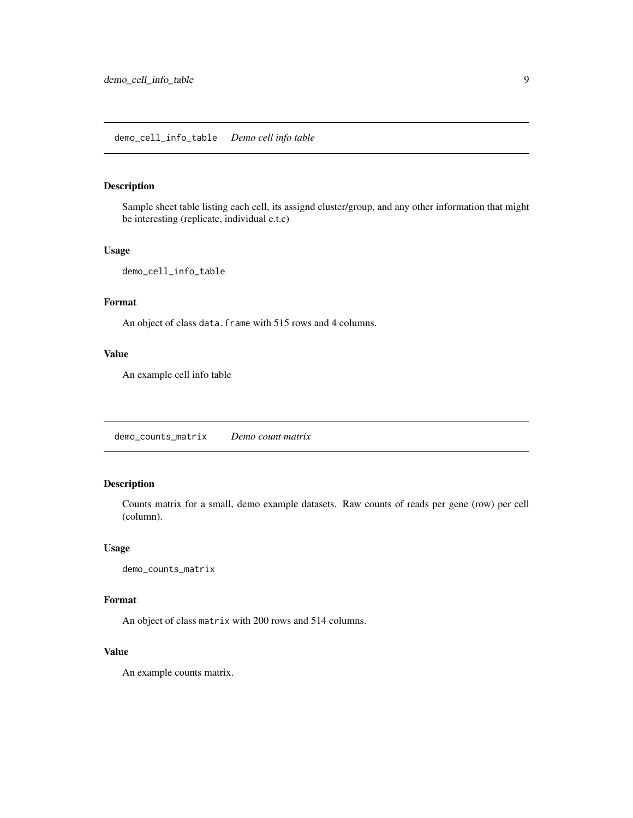## <span id="page-8-0"></span>demo\_cell\_info\_table *Demo cell info table*

## Description

Sample sheet table listing each cell, its assignd cluster/group, and any other information that might be interesting (replicate, individual e.t.c)

## Usage

demo\_cell\_info\_table

## Format

An object of class data. frame with 515 rows and 4 columns.

## Value

An example cell info table

demo\_counts\_matrix *Demo count matrix*

## Description

Counts matrix for a small, demo example datasets. Raw counts of reads per gene (row) per cell (column).

#### Usage

demo\_counts\_matrix

#### Format

An object of class matrix with 200 rows and 514 columns.

#### Value

An example counts matrix.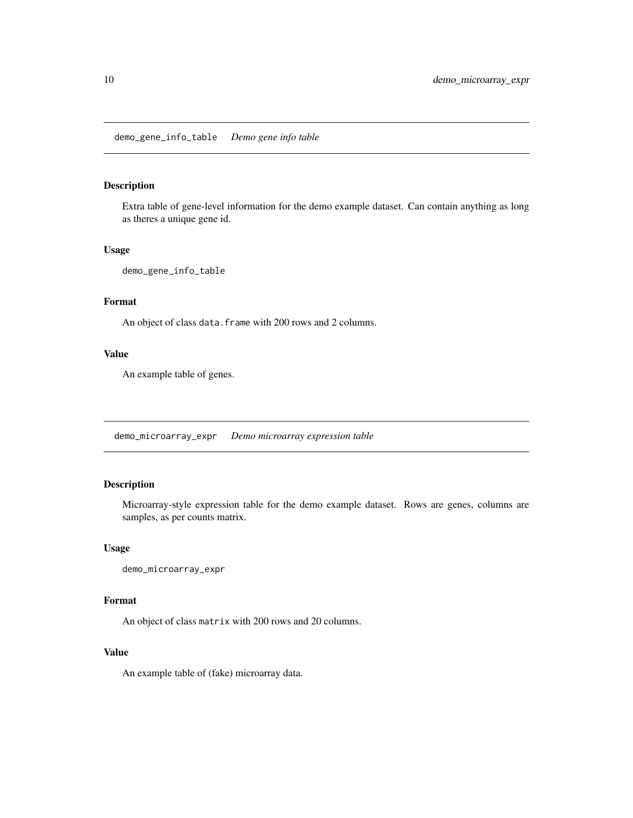## <span id="page-9-0"></span>Description

Extra table of gene-level information for the demo example dataset. Can contain anything as long as theres a unique gene id.

## Usage

demo\_gene\_info\_table

## Format

An object of class data. frame with 200 rows and 2 columns.

## Value

An example table of genes.

demo\_microarray\_expr *Demo microarray expression table*

## Description

Microarray-style expression table for the demo example dataset. Rows are genes, columns are samples, as per counts matrix.

#### Usage

demo\_microarray\_expr

#### Format

An object of class matrix with 200 rows and 20 columns.

#### Value

An example table of (fake) microarray data.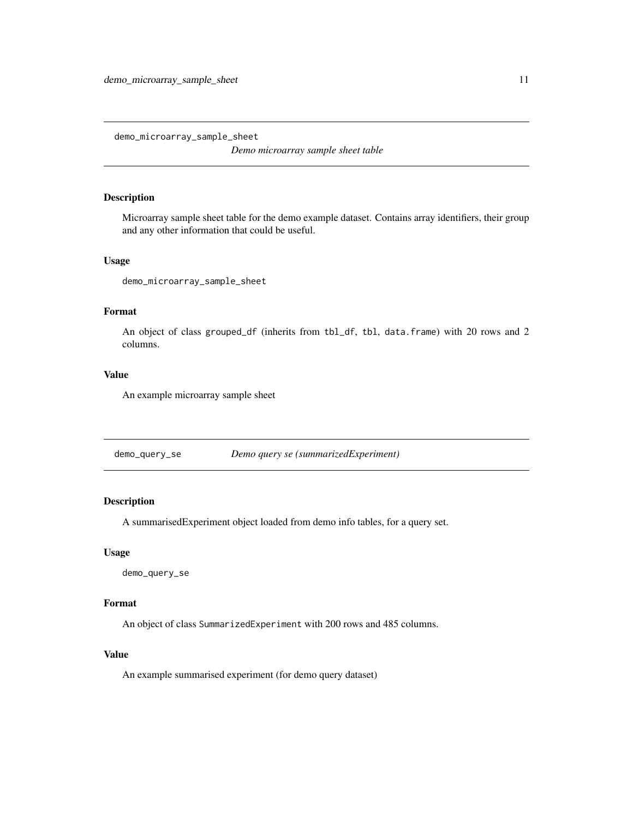<span id="page-10-0"></span>demo\_microarray\_sample\_sheet

*Demo microarray sample sheet table*

## Description

Microarray sample sheet table for the demo example dataset. Contains array identifiers, their group and any other information that could be useful.

## Usage

demo\_microarray\_sample\_sheet

## Format

An object of class grouped\_df (inherits from tbl\_df, tbl, data.frame) with 20 rows and 2 columns.

## Value

An example microarray sample sheet

demo\_query\_se *Demo query se (summarizedExperiment)*

## Description

A summarisedExperiment object loaded from demo info tables, for a query set.

#### Usage

demo\_query\_se

## Format

An object of class SummarizedExperiment with 200 rows and 485 columns.

## Value

An example summarised experiment (for demo query dataset)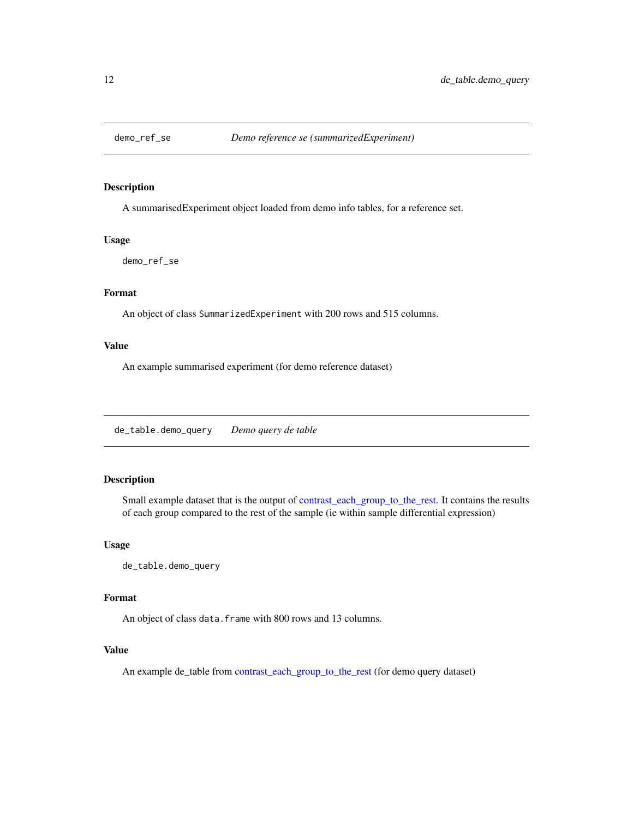<span id="page-11-0"></span>

## Description

A summarisedExperiment object loaded from demo info tables, for a reference set.

#### Usage

demo\_ref\_se

## Format

An object of class SummarizedExperiment with 200 rows and 515 columns.

## Value

An example summarised experiment (for demo reference dataset)

de\_table.demo\_query *Demo query de table*

#### Description

Small example dataset that is the output of [contrast\\_each\\_group\\_to\\_the\\_rest.](#page-1-1) It contains the results of each group compared to the rest of the sample (ie within sample differential expression)

#### Usage

de\_table.demo\_query

## Format

An object of class data. frame with 800 rows and 13 columns.

### Value

An example de\_table from [contrast\\_each\\_group\\_to\\_the\\_rest](#page-1-1) (for demo query dataset)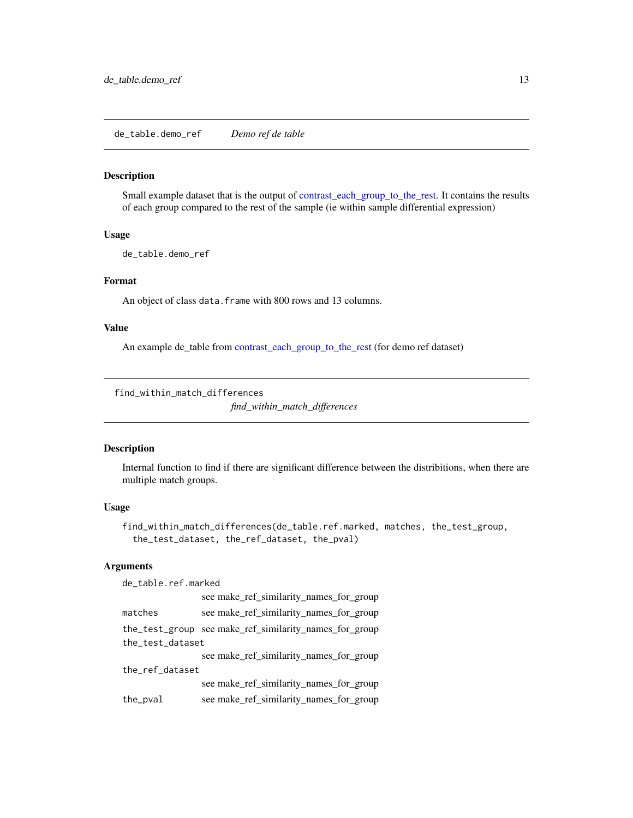<span id="page-12-0"></span>de\_table.demo\_ref *Demo ref de table*

## Description

Small example dataset that is the output of [contrast\\_each\\_group\\_to\\_the\\_rest.](#page-1-1) It contains the results of each group compared to the rest of the sample (ie within sample differential expression)

#### Usage

de\_table.demo\_ref

#### Format

An object of class data. frame with 800 rows and 13 columns.

#### Value

An example de\_table from [contrast\\_each\\_group\\_to\\_the\\_rest](#page-1-1) (for demo ref dataset)

find\_within\_match\_differences

*find\_within\_match\_differences*

## Description

Internal function to find if there are significant difference between the distribitions, when there are multiple match groups.

#### Usage

```
find_within_match_differences(de_table.ref.marked, matches, the_test_group,
  the_test_dataset, the_ref_dataset, the_pval)
```
## Arguments

| de_table.ref.marked |                                                        |  |
|---------------------|--------------------------------------------------------|--|
|                     | see make_ref_similarity_names_for_group                |  |
| matches             | see make_ref_similarity_names_for_group                |  |
|                     | the_test_group see make_ref_similarity_names_for_group |  |
| the_test_dataset    |                                                        |  |
|                     | see make_ref_similarity_names_for_group                |  |
| the_ref_dataset     |                                                        |  |
|                     | see make_ref_similarity_names_for_group                |  |
| the_pval            | see make_ref_similarity_names_for_group                |  |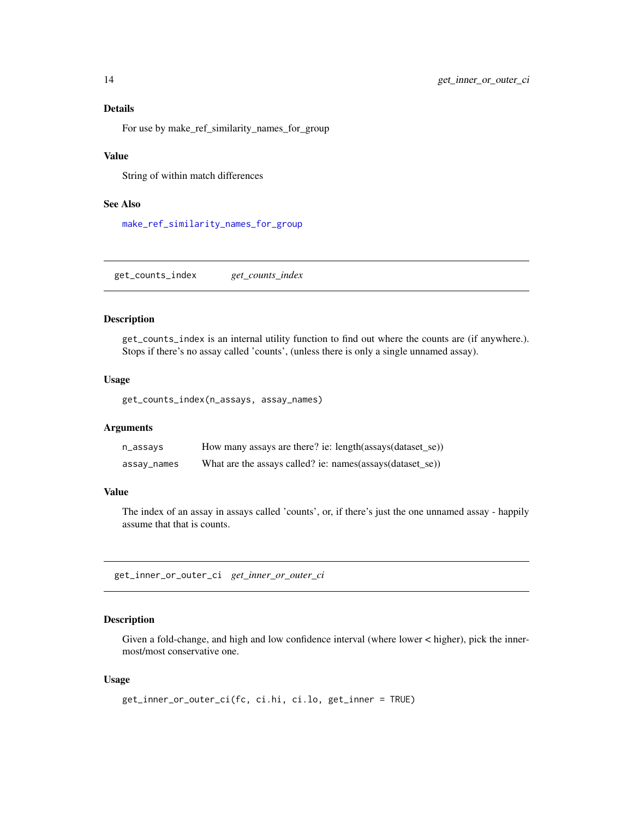## Details

For use by make\_ref\_similarity\_names\_for\_group

## Value

String of within match differences

## See Also

[make\\_ref\\_similarity\\_names\\_for\\_group](#page-30-1)

get\_counts\_index *get\_counts\_index*

#### Description

get\_counts\_index is an internal utility function to find out where the counts are (if anywhere.). Stops if there's no assay called 'counts', (unless there is only a single unnamed assay).

#### Usage

get\_counts\_index(n\_assays, assay\_names)

#### Arguments

| n_assays    | How many assays are there? ie: length(assays(dataset_se))   |
|-------------|-------------------------------------------------------------|
| assay_names | What are the assays called? ie: $names(assays(dataset_se))$ |

#### Value

The index of an assay in assays called 'counts', or, if there's just the one unnamed assay - happily assume that that is counts.

get\_inner\_or\_outer\_ci *get\_inner\_or\_outer\_ci*

## Description

Given a fold-change, and high and low confidence interval (where lower < higher), pick the innermost/most conservative one.

```
get_inner_or_outer_ci(fc, ci.hi, ci.lo, get_inner = TRUE)
```
<span id="page-13-0"></span>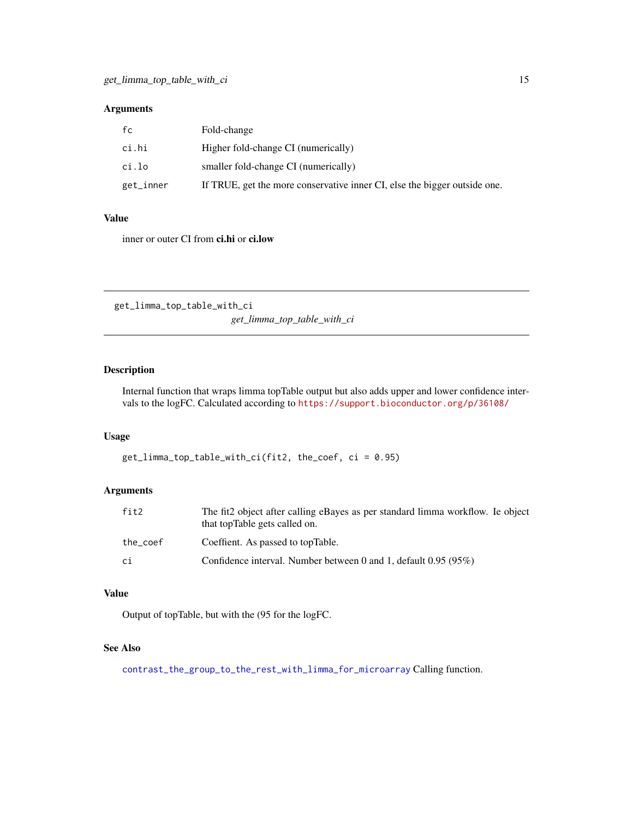<span id="page-14-0"></span>

| fc        | Fold-change                                                               |
|-----------|---------------------------------------------------------------------------|
| ci.hi     | Higher fold-change CI (numerically)                                       |
| ci.lo     | smaller fold-change CI (numerically)                                      |
| get_inner | If TRUE, get the more conservative inner CI, else the bigger outside one. |

## Value

inner or outer CI from ci.hi or ci.low

get\_limma\_top\_table\_with\_ci *get\_limma\_top\_table\_with\_ci*

## Description

Internal function that wraps limma topTable output but also adds upper and lower confidence intervals to the logFC. Calculated according to <https://support.bioconductor.org/p/36108/>

#### Usage

```
get_limma_top_table_with_ci(fit2, the_coef, ci = 0.95)
```
## Arguments

| fit2     | The fit2 object after calling eBayes as per standard limma workflow. Ie object<br>that topTable gets called on. |
|----------|-----------------------------------------------------------------------------------------------------------------|
| the_coef | Coeffient. As passed to topTable.                                                                               |
| сi       | Confidence interval. Number between 0 and 1, default $0.95(95%)$                                                |

#### Value

Output of topTable, but with the (95 for the logFC.

## See Also

[contrast\\_the\\_group\\_to\\_the\\_rest\\_with\\_limma\\_for\\_microarray](#page-6-1) Calling function.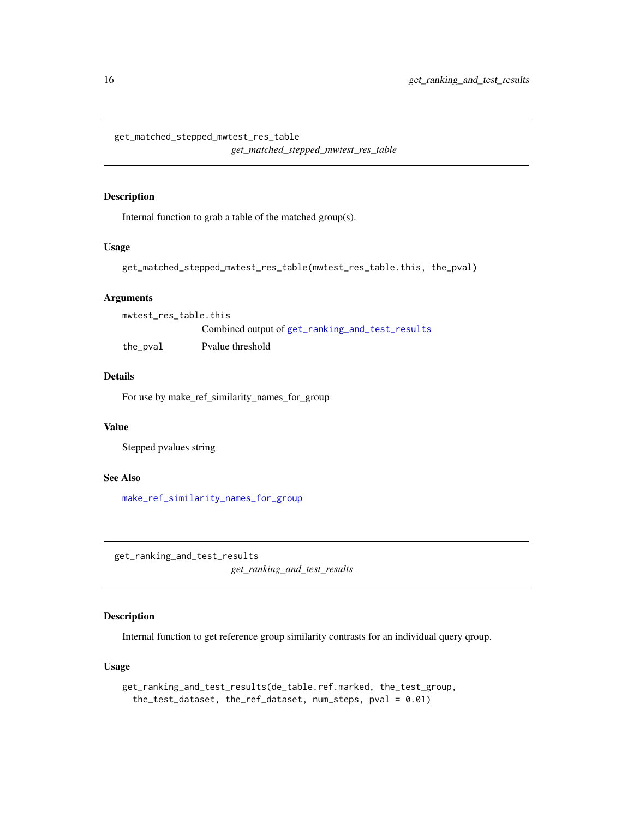```
get_matched_stepped_mwtest_res_table
```
*get\_matched\_stepped\_mwtest\_res\_table*

## Description

Internal function to grab a table of the matched group(s).

#### Usage

```
get_matched_stepped_mwtest_res_table(mwtest_res_table.this, the_pval)
```
## Arguments

| mwtest_res_table.this |                                                 |
|-----------------------|-------------------------------------------------|
|                       | Combined output of get_ranking_and_test_results |
| the_pval              | Pvalue threshold                                |

## Details

For use by make\_ref\_similarity\_names\_for\_group

## Value

Stepped pvalues string

## See Also

[make\\_ref\\_similarity\\_names\\_for\\_group](#page-30-1)

<span id="page-15-1"></span>get\_ranking\_and\_test\_results *get\_ranking\_and\_test\_results*

## Description

Internal function to get reference group similarity contrasts for an individual query qroup.

```
get_ranking_and_test_results(de_table.ref.marked, the_test_group,
  the_test_dataset, the_ref_dataset, num_steps, pval = 0.01)
```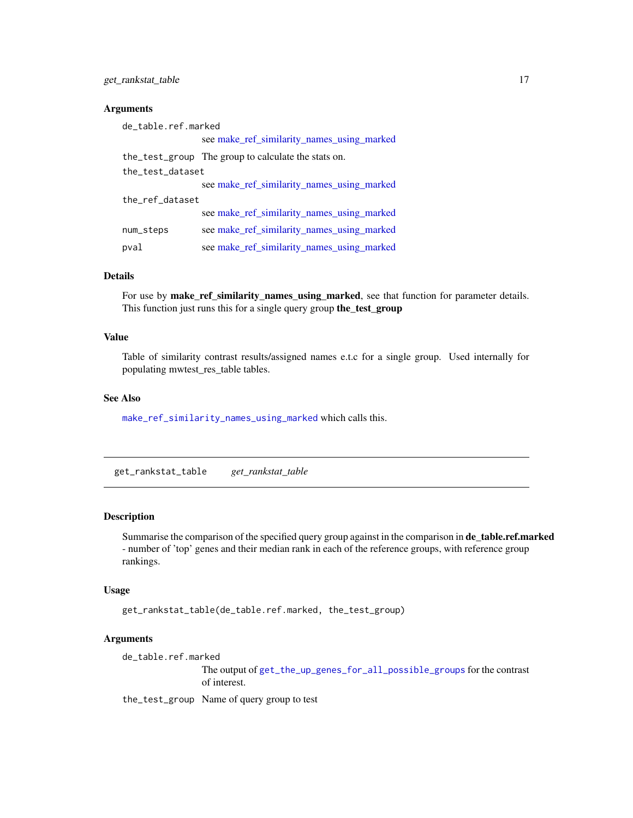<span id="page-16-0"></span>

| de_table.ref.marked |                                                     |  |
|---------------------|-----------------------------------------------------|--|
|                     | see make_ref_similarity_names_using_marked          |  |
|                     | the_test_group The group to calculate the stats on. |  |
| the_test_dataset    |                                                     |  |
|                     | see make_ref_similarity_names_using_marked          |  |
| the_ref_dataset     |                                                     |  |
|                     | see make_ref_similarity_names_using_marked          |  |
| num_steps           | see make_ref_similarity_names_using_marked          |  |
| pval                | see make_ref_similarity_names_using_marked          |  |

## Details

For use by make\_ref\_similarity\_names\_using\_marked, see that function for parameter details. This function just runs this for a single query group the\_test\_group

## Value

Table of similarity contrast results/assigned names e.t.c for a single group. Used internally for populating mwtest\_res\_table tables.

## See Also

[make\\_ref\\_similarity\\_names\\_using\\_marked](#page-27-1) which calls this.

get\_rankstat\_table *get\_rankstat\_table*

## Description

Summarise the comparison of the specified query group against in the comparison in de\_table.ref.marked - number of 'top' genes and their median rank in each of the reference groups, with reference group rankings.

#### Usage

get\_rankstat\_table(de\_table.ref.marked, the\_test\_group)

## Arguments

de\_table.ref.marked

The output of [get\\_the\\_up\\_genes\\_for\\_all\\_possible\\_groups](#page-19-1) for the contrast of interest.

the\_test\_group Name of query group to test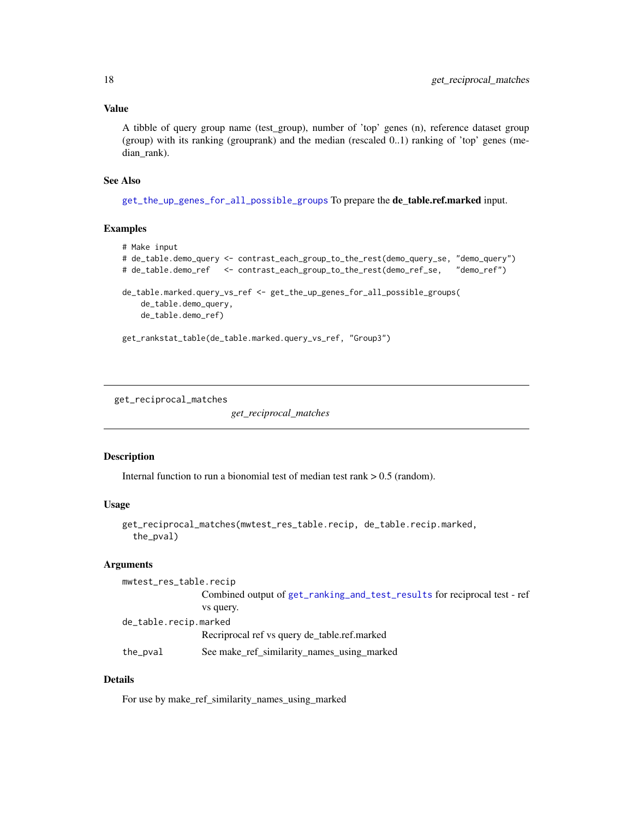## <span id="page-17-0"></span>Value

A tibble of query group name (test\_group), number of 'top' genes (n), reference dataset group (group) with its ranking (grouprank) and the median (rescaled 0..1) ranking of 'top' genes (median\_rank).

## See Also

[get\\_the\\_up\\_genes\\_for\\_all\\_possible\\_groups](#page-19-1) To prepare the de\_table.ref.marked input.

## Examples

```
# Make input
# de_table.demo_query <- contrast_each_group_to_the_rest(demo_query_se, "demo_query")
# de_table.demo_ref <- contrast_each_group_to_the_rest(demo_ref_se, "demo_ref")
de_table.marked.query_vs_ref <- get_the_up_genes_for_all_possible_groups(
   de_table.demo_query,
   de_table.demo_ref)
get_rankstat_table(de_table.marked.query_vs_ref, "Group3")
```
get\_reciprocal\_matches

*get\_reciprocal\_matches*

#### Description

Internal function to run a bionomial test of median test rank  $> 0.5$  (random).

## Usage

```
get_reciprocal_matches(mwtest_res_table.recip, de_table.recip.marked,
  the_pval)
```
#### Arguments

| mwtest_res_table.recip |                                                                           |
|------------------------|---------------------------------------------------------------------------|
|                        | Combined output of get_ranking_and_test_results for reciprocal test - ref |
|                        | vs query.                                                                 |
| de_table.recip.marked  |                                                                           |
|                        | Recriprocal ref vs query de_table.ref.marked                              |
| the_pval               | See make_ref_similarity_names_using_marked                                |

## Details

For use by make\_ref\_similarity\_names\_using\_marked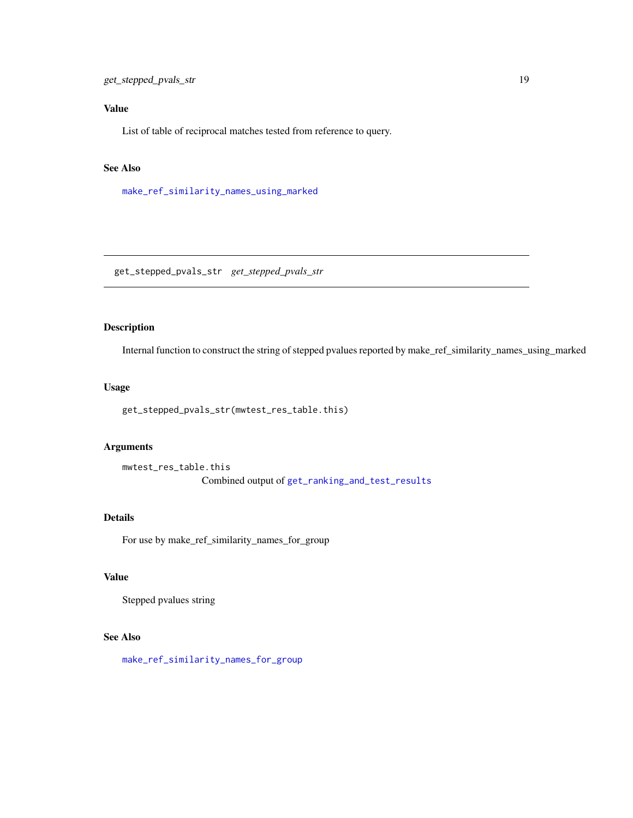## <span id="page-18-0"></span>Value

List of table of reciprocal matches tested from reference to query.

## See Also

[make\\_ref\\_similarity\\_names\\_using\\_marked](#page-27-1)

get\_stepped\_pvals\_str *get\_stepped\_pvals\_str*

## Description

Internal function to construct the string of stepped pvalues reported by make\_ref\_similarity\_names\_using\_marked

## Usage

get\_stepped\_pvals\_str(mwtest\_res\_table.this)

## Arguments

```
mwtest_res_table.this
                Combined output of get_ranking_and_test_results
```
#### Details

For use by make\_ref\_similarity\_names\_for\_group

## Value

Stepped pvalues string

## See Also

[make\\_ref\\_similarity\\_names\\_for\\_group](#page-30-1)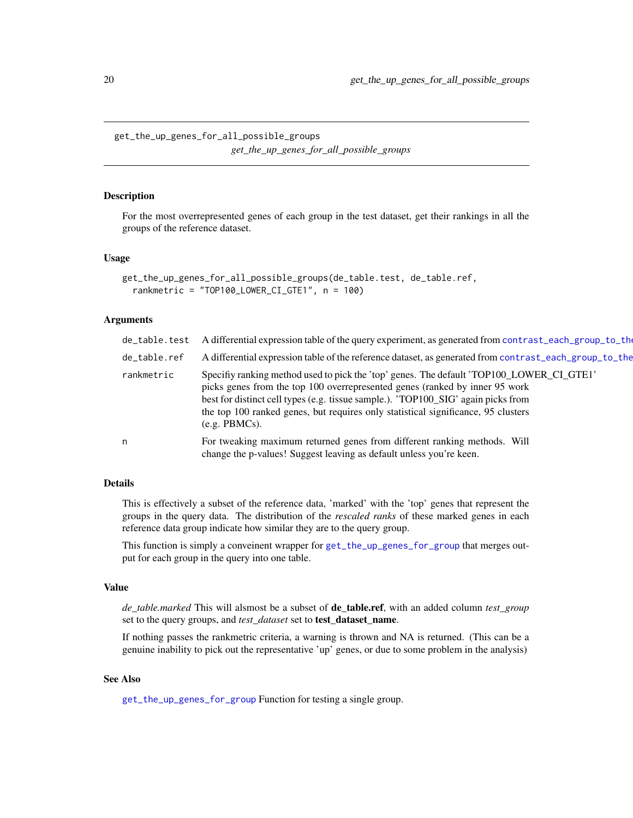<span id="page-19-1"></span><span id="page-19-0"></span>get\_the\_up\_genes\_for\_all\_possible\_groups *get\_the\_up\_genes\_for\_all\_possible\_groups*

#### **Description**

For the most overrepresented genes of each group in the test dataset, get their rankings in all the groups of the reference dataset.

#### Usage

```
get_the_up_genes_for_all_possible_groups(de_table.test, de_table.ref,
  rankmetric = "TOP100_LOWER_CI_GTE1", n = 100)
```
#### Arguments

| de_table.test | A differential expression table of the query experiment, as generated from contrast_each_group_to_the                                                                                                                                                                                                                                                                 |
|---------------|-----------------------------------------------------------------------------------------------------------------------------------------------------------------------------------------------------------------------------------------------------------------------------------------------------------------------------------------------------------------------|
| de_table.ref  | A differential expression table of the reference dataset, as generated from contrast_each_group_to_the                                                                                                                                                                                                                                                                |
| rankmetric    | Specifiy ranking method used to pick the 'top' genes. The default 'TOP100_LOWER_CI_GTE1'<br>picks genes from the top 100 overrepresented genes (ranked by inner 95 work<br>best for distinct cell types (e.g. tissue sample.). 'TOP100_SIG' again picks from<br>the top 100 ranked genes, but requires only statistical significance, 95 clusters<br>$(e.g. PBMCs)$ . |
| n             | For tweaking maximum returned genes from different ranking methods. Will<br>change the p-values! Suggest leaving as default unless you're keen.                                                                                                                                                                                                                       |

## Details

This is effectively a subset of the reference data, 'marked' with the 'top' genes that represent the groups in the query data. The distribution of the *rescaled ranks* of these marked genes in each reference data group indicate how similar they are to the query group.

This function is simply a conveinent wrapper for [get\\_the\\_up\\_genes\\_for\\_group](#page-20-1) that merges output for each group in the query into one table.

#### Value

*de\_table.marked* This will alsmost be a subset of de\_table.ref, with an added column *test\_group* set to the query groups, and *test\_dataset* set to test\_dataset\_name.

If nothing passes the rankmetric criteria, a warning is thrown and NA is returned. (This can be a genuine inability to pick out the representative 'up' genes, or due to some problem in the analysis)

## See Also

[get\\_the\\_up\\_genes\\_for\\_group](#page-20-1) Function for testing a single group.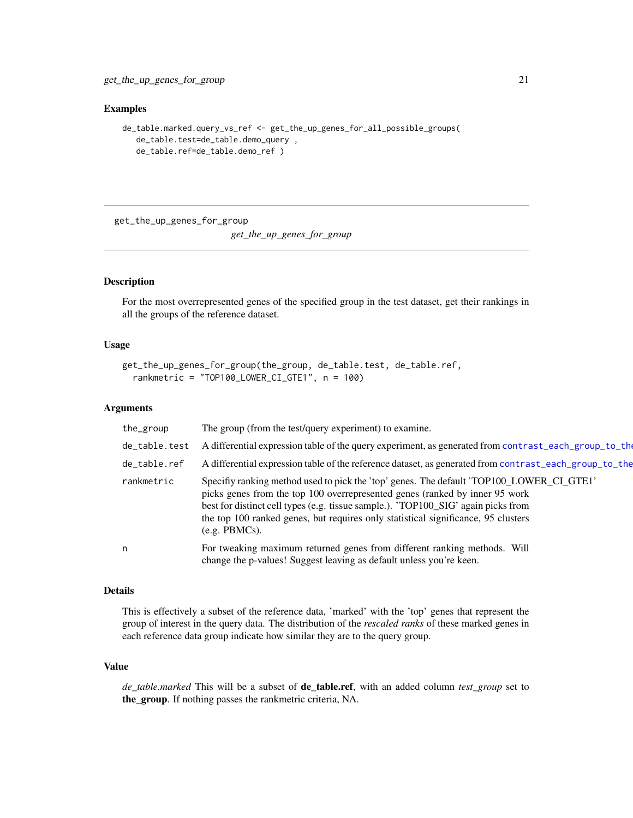#### <span id="page-20-0"></span>Examples

```
de_table.marked.query_vs_ref <- get_the_up_genes_for_all_possible_groups(
  de_table.test=de_table.demo_query ,
  de_table.ref=de_table.demo_ref )
```
<span id="page-20-1"></span>get\_the\_up\_genes\_for\_group *get\_the\_up\_genes\_for\_group*

#### Description

For the most overrepresented genes of the specified group in the test dataset, get their rankings in all the groups of the reference dataset.

## Usage

```
get_the_up_genes_for_group(the_group, de_table.test, de_table.ref,
  rankmetric = "TOP100_LOWER_CI_GTE1", n = 100)
```
## Arguments

| the_group     | The group (from the test/query experiment) to examine.                                                                                                                                                                                                                                                                                                             |
|---------------|--------------------------------------------------------------------------------------------------------------------------------------------------------------------------------------------------------------------------------------------------------------------------------------------------------------------------------------------------------------------|
| de_table.test | A differential expression table of the query experiment, as generated from contrast_each_group_to_the                                                                                                                                                                                                                                                              |
| de_table.ref  | A differential expression table of the reference dataset, as generated from contrast_each_group_to_the                                                                                                                                                                                                                                                             |
| rankmetric    | Specifiy ranking method used to pick the 'top' genes. The default 'TOP100_LOWER_CI_GTE1'<br>picks genes from the top 100 overrepresented genes (ranked by inner 95 work<br>best for distinct cell types (e.g. tissue sample.). 'TOP100_SIG' again picks from<br>the top 100 ranked genes, but requires only statistical significance, 95 clusters<br>(e.g. PBMCs). |
| n             | For tweaking maximum returned genes from different ranking methods. Will<br>change the p-values! Suggest leaving as default unless you're keen.                                                                                                                                                                                                                    |

#### Details

This is effectively a subset of the reference data, 'marked' with the 'top' genes that represent the group of interest in the query data. The distribution of the *rescaled ranks* of these marked genes in each reference data group indicate how similar they are to the query group.

## Value

*de\_table.marked* This will be a subset of de\_table.ref, with an added column *test\_group* set to the\_group. If nothing passes the rankmetric criteria, NA.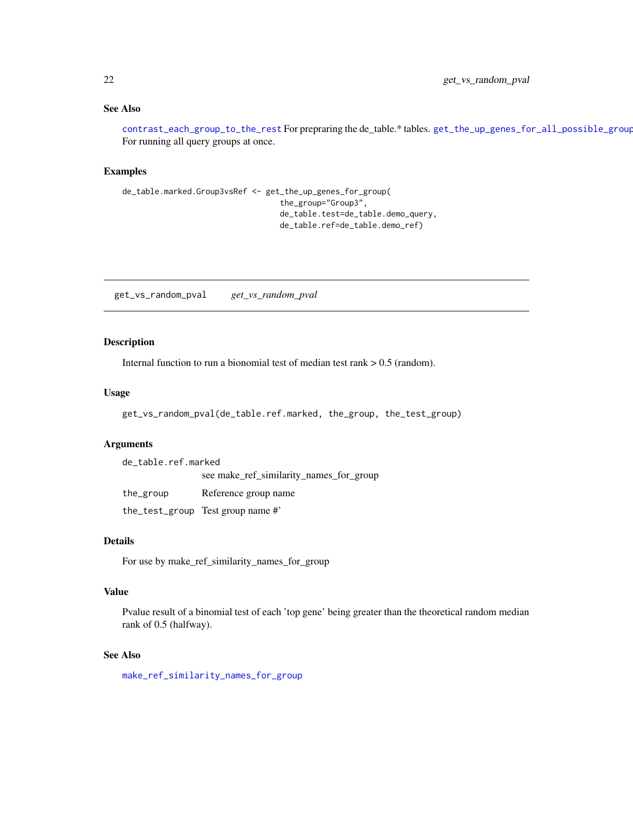## <span id="page-21-0"></span>See Also

[contrast\\_each\\_group\\_to\\_the\\_rest](#page-1-1) For prepraring the de\_table.\* tables. [get\\_the\\_up\\_genes\\_for\\_all\\_possible\\_groups](#page-19-1) For running all query groups at once.

#### Examples

```
de_table.marked.Group3vsRef <- get_the_up_genes_for_group(
                                  the_group="Group3",
                                  de_table.test=de_table.demo_query,
                                  de_table.ref=de_table.demo_ref)
```
get\_vs\_random\_pval *get\_vs\_random\_pval*

## Description

Internal function to run a bionomial test of median test rank > 0.5 (random).

## Usage

```
get_vs_random_pval(de_table.ref.marked, the_group, the_test_group)
```
## Arguments

de\_table.ref.marked see make\_ref\_similarity\_names\_for\_group the\_group Reference group name the\_test\_group Test group name #'

## Details

For use by make\_ref\_similarity\_names\_for\_group

## Value

Pvalue result of a binomial test of each 'top gene' being greater than the theoretical random median rank of 0.5 (halfway).

## See Also

[make\\_ref\\_similarity\\_names\\_for\\_group](#page-30-1)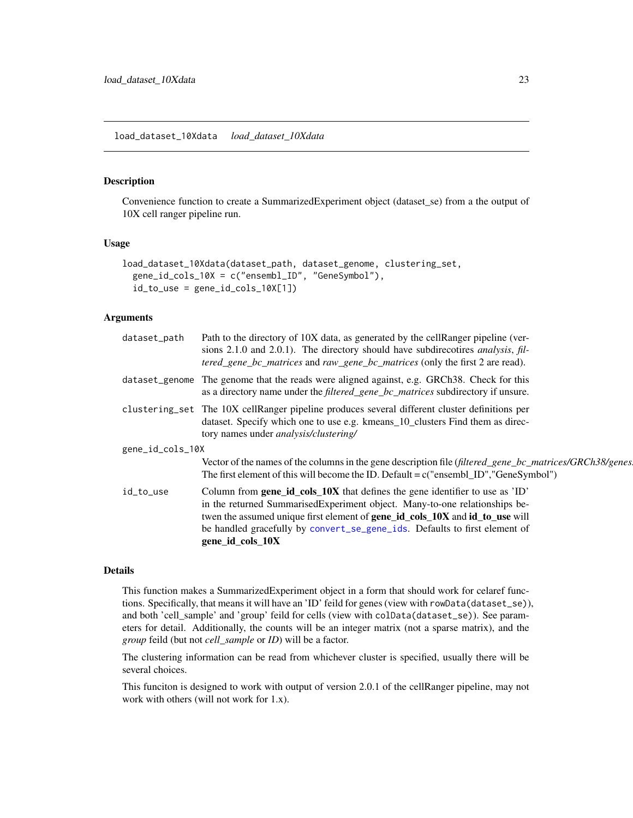#### <span id="page-22-1"></span><span id="page-22-0"></span>load\_dataset\_10Xdata *load\_dataset\_10Xdata*

## Description

Convenience function to create a SummarizedExperiment object (dataset\_se) from a the output of 10X cell ranger pipeline run.

#### Usage

```
load_dataset_10Xdata(dataset_path, dataset_genome, clustering_set,
 gene_id_cols_10X = c("ensembl_ID", "GeneSymbol"),
  id_to_use = gene_id_cols_10X[1])
```
## Arguments

| The genome that the reads were aligned against, e.g. GRCh38. Check for this<br>dataset_genome<br>as a directory name under the <i>filtered_gene_bc_matrices</i> subdirectory if unsure.<br>clustering_set The 10X cellRanger pipeline produces several different cluster definitions per<br>dataset. Specify which one to use e.g. kmeans_10_clusters Find them as direc-<br>tory names under <i>analysis/clustering/</i><br>gene_id_cols_10X<br>Vector of the names of the columns in the gene description file (filtered_gene_bc_matrices/GRCh38/genes]<br>The first element of this will become the ID. Default = $c$ ("ensembl_ID","GeneSymbol")<br>Column from gene_id_cols_10X that defines the gene identifier to use as 'ID'<br>id_to_use<br>in the returned SummarisedExperiment object. Many-to-one relationships be-<br>twen the assumed unique first element of <b>gene_id_cols_10X</b> and <b>id_to_use</b> will<br>be handled gracefully by convert_se_gene_ids. Defaults to first element of<br>gene_id_cols_10X | dataset_path | Path to the directory of 10X data, as generated by the cellRanger pipeline (ver-<br>sions 2.1.0 and 2.0.1). The directory should have subdirecotires <i>analysis</i> , fil-<br>tered_gene_bc_matrices and raw_gene_bc_matrices (only the first 2 are read). |  |
|---------------------------------------------------------------------------------------------------------------------------------------------------------------------------------------------------------------------------------------------------------------------------------------------------------------------------------------------------------------------------------------------------------------------------------------------------------------------------------------------------------------------------------------------------------------------------------------------------------------------------------------------------------------------------------------------------------------------------------------------------------------------------------------------------------------------------------------------------------------------------------------------------------------------------------------------------------------------------------------------------------------------------------|--------------|-------------------------------------------------------------------------------------------------------------------------------------------------------------------------------------------------------------------------------------------------------------|--|
|                                                                                                                                                                                                                                                                                                                                                                                                                                                                                                                                                                                                                                                                                                                                                                                                                                                                                                                                                                                                                                 |              |                                                                                                                                                                                                                                                             |  |
|                                                                                                                                                                                                                                                                                                                                                                                                                                                                                                                                                                                                                                                                                                                                                                                                                                                                                                                                                                                                                                 |              |                                                                                                                                                                                                                                                             |  |
|                                                                                                                                                                                                                                                                                                                                                                                                                                                                                                                                                                                                                                                                                                                                                                                                                                                                                                                                                                                                                                 |              |                                                                                                                                                                                                                                                             |  |
|                                                                                                                                                                                                                                                                                                                                                                                                                                                                                                                                                                                                                                                                                                                                                                                                                                                                                                                                                                                                                                 |              |                                                                                                                                                                                                                                                             |  |
|                                                                                                                                                                                                                                                                                                                                                                                                                                                                                                                                                                                                                                                                                                                                                                                                                                                                                                                                                                                                                                 |              |                                                                                                                                                                                                                                                             |  |

## **Details**

This function makes a SummarizedExperiment object in a form that should work for celaref functions. Specifically, that means it will have an 'ID' feild for genes (view with rowData(dataset\_se)), and both 'cell\_sample' and 'group' feild for cells (view with colData(dataset\_se)). See parameters for detail. Additionally, the counts will be an integer matrix (not a sparse matrix), and the *group* feild (but not *cell\_sample* or *ID*) will be a factor.

The clustering information can be read from whichever cluster is specified, usually there will be several choices.

This funciton is designed to work with output of version 2.0.1 of the cellRanger pipeline, may not work with others (will not work for 1.x).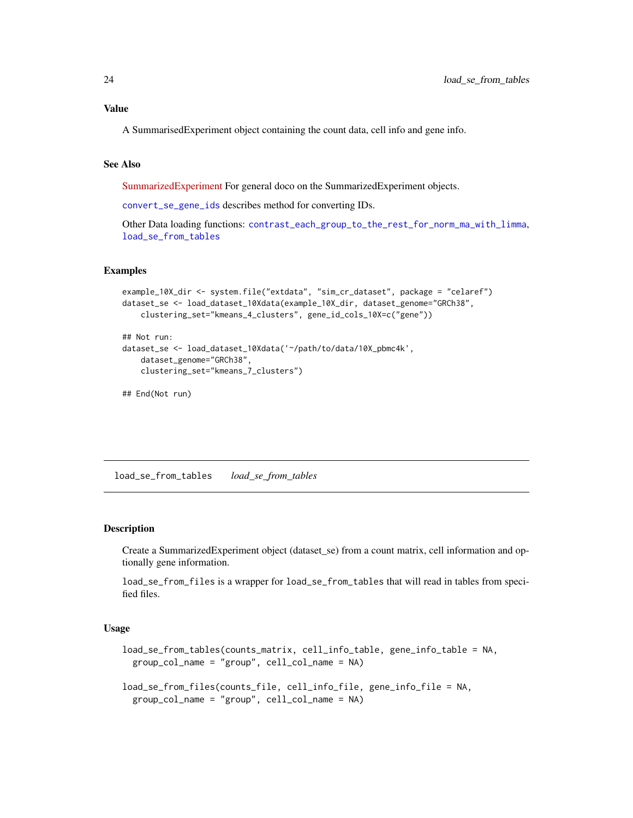## <span id="page-23-0"></span>Value

A SummarisedExperiment object containing the count data, cell info and gene info.

## See Also

[SummarizedExperiment](https://bioconductor.org/packages/release/bioc/html/SummarizedExperiment.html) For general doco on the SummarizedExperiment objects.

[convert\\_se\\_gene\\_ids](#page-7-1) describes method for converting IDs.

Other Data loading functions: [contrast\\_each\\_group\\_to\\_the\\_rest\\_for\\_norm\\_ma\\_with\\_limma](#page-3-1), [load\\_se\\_from\\_tables](#page-23-1)

#### Examples

```
example_10X_dir <- system.file("extdata", "sim_cr_dataset", package = "celaref")
dataset_se <- load_dataset_10Xdata(example_10X_dir, dataset_genome="GRCh38",
   clustering_set="kmeans_4_clusters", gene_id_cols_10X=c("gene"))
```

```
## Not run:
dataset_se <- load_dataset_10Xdata('~/path/to/data/10X_pbmc4k',
   dataset_genome="GRCh38",
   clustering_set="kmeans_7_clusters")
```
## End(Not run)

<span id="page-23-1"></span>load\_se\_from\_tables *load\_se\_from\_tables*

## <span id="page-23-2"></span>Description

Create a SummarizedExperiment object (dataset\_se) from a count matrix, cell information and optionally gene information.

load\_se\_from\_files is a wrapper for load\_se\_from\_tables that will read in tables from specified files.

```
load_se_from_tables(counts_matrix, cell_info_table, gene_info_table = NA,
 group_col_name = "group", cell_col_name = NA)
load_se_from_files(counts_file, cell_info_file, gene_info_file = NA,
```

```
group_col_name = "group", cell_col_name = NA)
```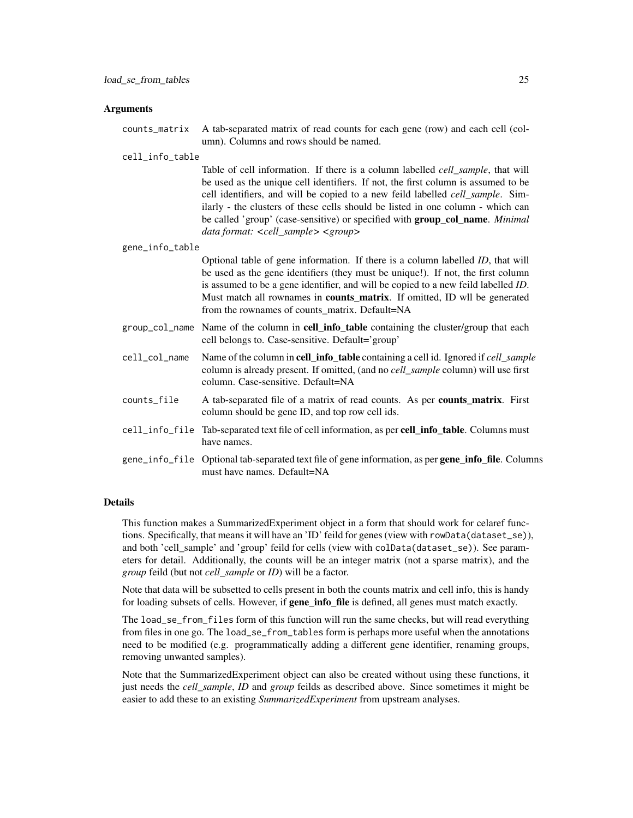counts\_matrix A tab-separated matrix of read counts for each gene (row) and each cell (column). Columns and rows should be named.

#### cell\_info\_table

Table of cell information. If there is a column labelled *cell\_sample*, that will be used as the unique cell identifiers. If not, the first column is assumed to be cell identifiers, and will be copied to a new feild labelled *cell\_sample*. Similarly - the clusters of these cells should be listed in one column - which can be called 'group' (case-sensitive) or specified with group\_col\_name. *Minimal data format: <cell\_sample> <group>*

#### gene\_info\_table

Optional table of gene information. If there is a column labelled *ID*, that will be used as the gene identifiers (they must be unique!). If not, the first column is assumed to be a gene identifier, and will be copied to a new feild labelled *ID*. Must match all rownames in **counts matrix**. If omitted, ID wll be generated from the rownames of counts\_matrix. Default=NA

- group\_col\_name Name of the column in **cell\_info\_table** containing the cluster/group that each cell belongs to. Case-sensitive. Default='group'
- cell\_col\_name Name of the column in cell\_info\_table containing a cell id. Ignored if *cell\_sample* column is already present. If omitted, (and no *cell\_sample* column) will use first column. Case-sensitive. Default=NA
- counts\_file A tab-separated file of a matrix of read counts. As per **counts matrix**. First column should be gene ID, and top row cell ids.
- cell\_info\_file Tab-separated text file of cell information, as per cell\_info\_table. Columns must have names.
- gene\_info\_file Optional tab-separated text file of gene information, as per gene\_info\_file. Columns must have names. Default=NA

#### Details

This function makes a SummarizedExperiment object in a form that should work for celaref functions. Specifically, that means it will have an 'ID' feild for genes (view with rowData(dataset\_se)), and both 'cell sample' and 'group' feild for cells (view with colData(dataset\_se)). See parameters for detail. Additionally, the counts will be an integer matrix (not a sparse matrix), and the *group* feild (but not *cell\_sample* or *ID*) will be a factor.

Note that data will be subsetted to cells present in both the counts matrix and cell info, this is handy for loading subsets of cells. However, if gene\_info\_file is defined, all genes must match exactly.

The load\_se\_from\_files form of this function will run the same checks, but will read everything from files in one go. The load\_se\_from\_tables form is perhaps more useful when the annotations need to be modified (e.g. programmatically adding a different gene identifier, renaming groups, removing unwanted samples).

Note that the SummarizedExperiment object can also be created without using these functions, it just needs the *cell\_sample*, *ID* and *group* feilds as described above. Since sometimes it might be easier to add these to an existing *SummarizedExperiment* from upstream analyses.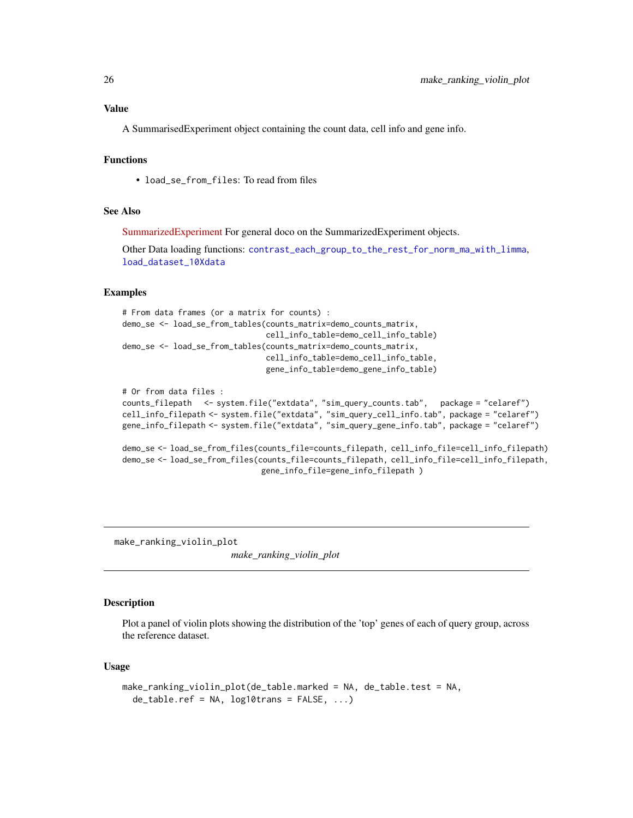#### <span id="page-25-0"></span>Value

A SummarisedExperiment object containing the count data, cell info and gene info.

## Functions

• load se from files: To read from files

#### See Also

[SummarizedExperiment](https://bioconductor.org/packages/release/bioc/html/SummarizedExperiment.html) For general doco on the SummarizedExperiment objects.

Other Data loading functions: [contrast\\_each\\_group\\_to\\_the\\_rest\\_for\\_norm\\_ma\\_with\\_limma](#page-3-1), [load\\_dataset\\_10Xdata](#page-22-1)

#### Examples

```
# From data frames (or a matrix for counts) :
demo_se <- load_se_from_tables(counts_matrix=demo_counts_matrix,
                               cell_info_table=demo_cell_info_table)
demo_se <- load_se_from_tables(counts_matrix=demo_counts_matrix,
                               cell_info_table=demo_cell_info_table,
                               gene_info_table=demo_gene_info_table)
```

```
# Or from data files :
counts_filepath <- system.file("extdata", "sim_query_counts.tab", package = "celaref")
cell_info_filepath <- system.file("extdata", "sim_query_cell_info.tab", package = "celaref")
gene_info_filepath <- system.file("extdata", "sim_query_gene_info.tab", package = "celaref")
```

```
demo_se <- load_se_from_files(counts_file=counts_filepath, cell_info_file=cell_info_filepath)
demo_se <- load_se_from_files(counts_file=counts_filepath, cell_info_file=cell_info_filepath,
                              gene_info_file=gene_info_filepath )
```
make\_ranking\_violin\_plot

*make\_ranking\_violin\_plot*

#### Description

Plot a panel of violin plots showing the distribution of the 'top' genes of each of query group, across the reference dataset.

```
make_ranking_violin_plot(de_table.marked = NA, de_table.test = NA,
 de_table.ref = NA, log10trans = FALSE, ...)
```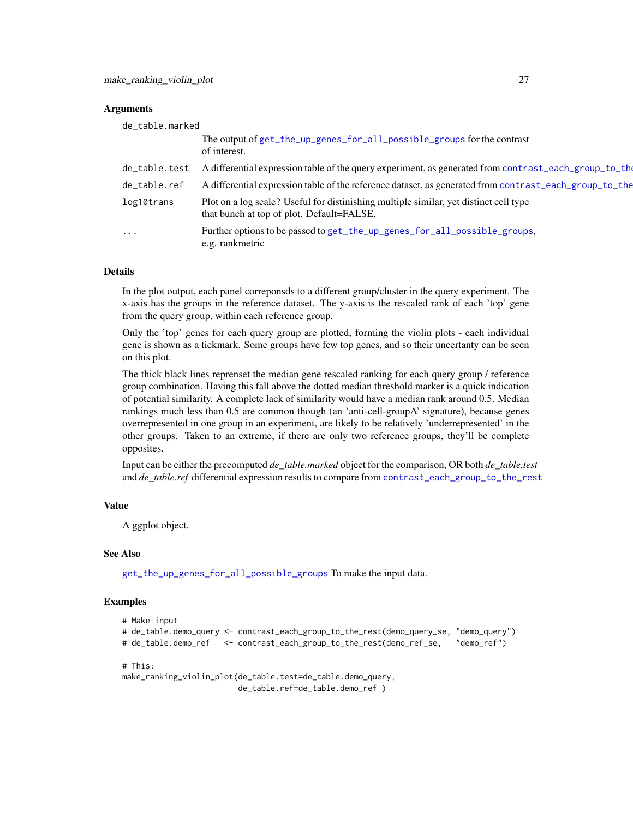<span id="page-26-0"></span>

| de table.marked |                                                                                                                                    |
|-----------------|------------------------------------------------------------------------------------------------------------------------------------|
|                 | The output of get_the_up_genes_for_all_possible_groups for the contrast<br>of interest.                                            |
| de_table.test   | A differential expression table of the query experiment, as generated from contrast_each_group_to_the                              |
| de_table.ref    | A differential expression table of the reference dataset, as generated from contrast_each_group_to_the                             |
| log10trans      | Plot on a log scale? Useful for distinishing multiple similar, yet distinct cell type<br>that bunch at top of plot. Default=FALSE. |
| $\ddotsc$       | Further options to be passed to get_the_up_genes_for_all_possible_groups,<br>e.g. rankmetric                                       |

## Details

In the plot output, each panel correponsds to a different group/cluster in the query experiment. The x-axis has the groups in the reference dataset. The y-axis is the rescaled rank of each 'top' gene from the query group, within each reference group.

Only the 'top' genes for each query group are plotted, forming the violin plots - each individual gene is shown as a tickmark. Some groups have few top genes, and so their uncertanty can be seen on this plot.

The thick black lines reprenset the median gene rescaled ranking for each query group / reference group combination. Having this fall above the dotted median threshold marker is a quick indication of potential similarity. A complete lack of similarity would have a median rank around 0.5. Median rankings much less than 0.5 are common though (an 'anti-cell-groupA' signature), because genes overrepresented in one group in an experiment, are likely to be relatively 'underrepresented' in the other groups. Taken to an extreme, if there are only two reference groups, they'll be complete opposites.

Input can be either the precomputed *de\_table.marked* object for the comparison, OR both *de\_table.test* and *de\_table.ref* differential expression results to compare from [contrast\\_each\\_group\\_to\\_the\\_rest](#page-1-1)

## Value

A ggplot object.

#### See Also

[get\\_the\\_up\\_genes\\_for\\_all\\_possible\\_groups](#page-19-1) To make the input data.

#### Examples

```
# Make input
# de_table.demo_query <- contrast_each_group_to_the_rest(demo_query_se, "demo_query")
# de_table.demo_ref <- contrast_each_group_to_the_rest(demo_ref_se, "demo_ref")
```

```
# This:
```

```
make_ranking_violin_plot(de_table.test=de_table.demo_query,
                        de_table.ref=de_table.demo_ref )
```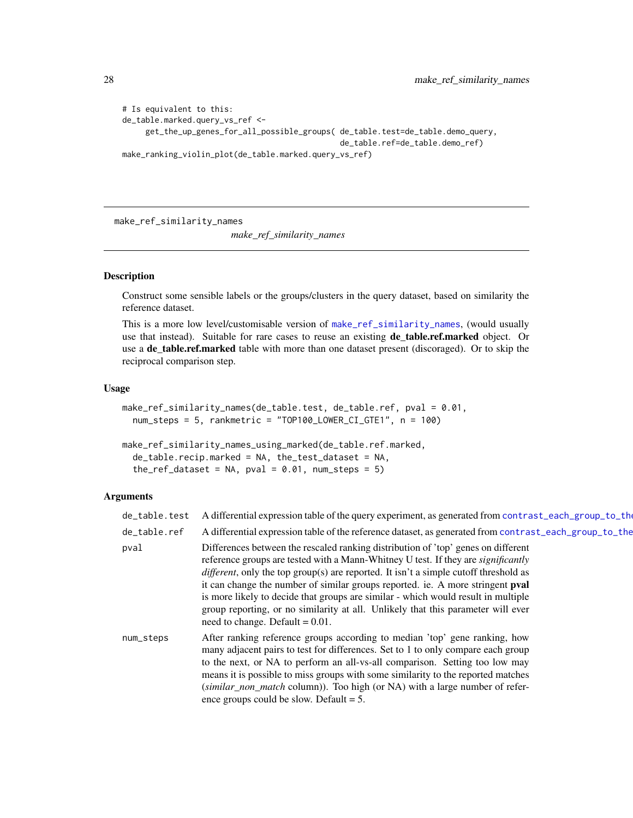```
# Is equivalent to this:
de_table.marked.query_vs_ref <-
     get_the_up_genes_for_all_possible_groups( de_table.test=de_table.demo_query,
                                               de_table.ref=de_table.demo_ref)
make_ranking_violin_plot(de_table.marked.query_vs_ref)
```
<span id="page-27-2"></span>make\_ref\_similarity\_names

*make\_ref\_similarity\_names*

## <span id="page-27-1"></span>Description

Construct some sensible labels or the groups/clusters in the query dataset, based on similarity the reference dataset.

This is a more low level/customisable version of [make\\_ref\\_similarity\\_names](#page-27-2), (would usually use that instead). Suitable for rare cases to reuse an existing **de\_table.ref.marked** object. Or use a de\_table.ref.marked table with more than one dataset present (discoraged). Or to skip the reciprocal comparison step.

#### Usage

```
make_ref_similarity_names(de_table.test, de_table.ref, pval = 0.01,
 num_steps = 5, rankmetric = "TOP100_LOWER_CI_GTE1", n = 100)
```

```
make_ref_similarity_names_using_marked(de_table.ref.marked,
  de_table.recip.marked = NA, the_test_dataset = NA,
  the_ref_dataset = NA, pval = 0.01, num_steps = 5)
```
### **Arguments**

| de_table.test | A differential expression table of the query experiment, as generated from contrast_each_group_to_the                                                                                                                                                                                                                                                                                                                                                                                                                                                                          |
|---------------|--------------------------------------------------------------------------------------------------------------------------------------------------------------------------------------------------------------------------------------------------------------------------------------------------------------------------------------------------------------------------------------------------------------------------------------------------------------------------------------------------------------------------------------------------------------------------------|
| de_table.ref  | A differential expression table of the reference dataset, as generated from contrast_each_group_to_the                                                                                                                                                                                                                                                                                                                                                                                                                                                                         |
| pval          | Differences between the rescaled ranking distribution of 'top' genes on different<br>reference groups are tested with a Mann-Whitney U test. If they are <i>significantly</i><br><i>different</i> , only the top group(s) are reported. It isn't a simple cutoff threshold as<br>it can change the number of similar groups reported. ie. A more stringent pval<br>is more likely to decide that groups are similar - which would result in multiple<br>group reporting, or no similarity at all. Unlikely that this parameter will ever<br>need to change. Default $= 0.01$ . |
| num_steps     | After ranking reference groups according to median 'top' gene ranking, how<br>many adjacent pairs to test for differences. Set to 1 to only compare each group<br>to the next, or NA to perform an all-vs-all comparison. Setting too low may<br>means it is possible to miss groups with some similarity to the reported matches<br>(similar_non_match column)). Too high (or NA) with a large number of refer-<br>ence groups could be slow. Default $= 5$ .                                                                                                                 |

<span id="page-27-0"></span>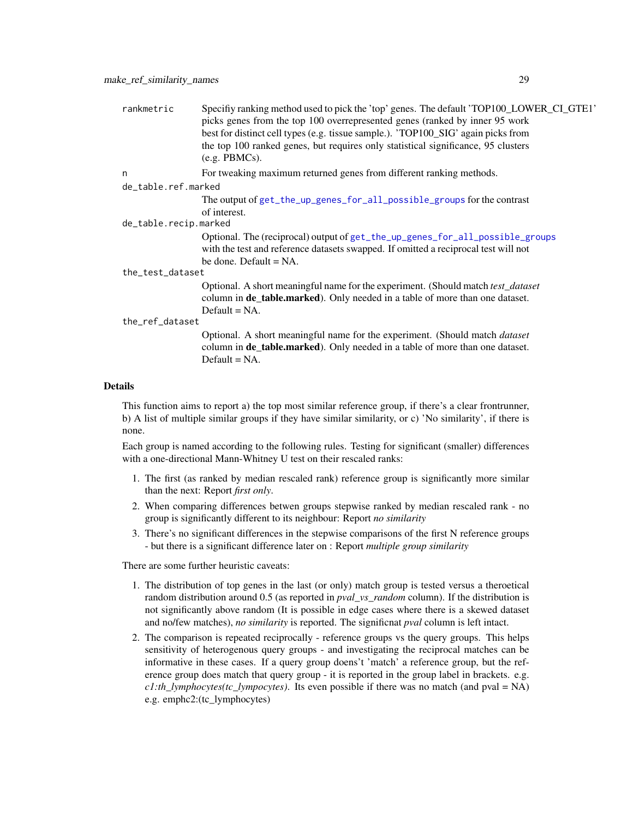<span id="page-28-0"></span>

| rankmetric            | Specifiy ranking method used to pick the 'top' genes. The default 'TOP100_LOWER_CI_GTE1'<br>picks genes from the top 100 overrepresented genes (ranked by inner 95 work<br>best for distinct cell types (e.g. tissue sample.). 'TOP100_SIG' again picks from<br>the top 100 ranked genes, but requires only statistical significance, 95 clusters<br>(e.g. PBMCs). |  |
|-----------------------|--------------------------------------------------------------------------------------------------------------------------------------------------------------------------------------------------------------------------------------------------------------------------------------------------------------------------------------------------------------------|--|
| n                     | For tweaking maximum returned genes from different ranking methods.                                                                                                                                                                                                                                                                                                |  |
| de_table.ref.marked   |                                                                                                                                                                                                                                                                                                                                                                    |  |
|                       | The output of get_the_up_genes_for_all_possible_groups for the contrast<br>of interest.                                                                                                                                                                                                                                                                            |  |
| de_table.recip.marked |                                                                                                                                                                                                                                                                                                                                                                    |  |
|                       | Optional. The (reciprocal) output of get_the_up_genes_for_all_possible_groups<br>with the test and reference datasets swapped. If omitted a reciprocal test will not<br>be done. Default $= NA$ .                                                                                                                                                                  |  |
| the_test_dataset      |                                                                                                                                                                                                                                                                                                                                                                    |  |
|                       | Optional. A short meaningful name for the experiment. (Should match test_dataset<br>column in <b>de_table.marked</b> ). Only needed in a table of more than one dataset.<br>$Default = NA$ .                                                                                                                                                                       |  |
| the_ref_dataset       |                                                                                                                                                                                                                                                                                                                                                                    |  |
|                       | Optional. A short meaningful name for the experiment. (Should match <i>dataset</i><br>column in <b>de_table.marked</b> ). Only needed in a table of more than one dataset.<br>Default $= NA$ .                                                                                                                                                                     |  |

#### Details

This function aims to report a) the top most similar reference group, if there's a clear frontrunner, b) A list of multiple similar groups if they have similar similarity, or c) 'No similarity', if there is none.

Each group is named according to the following rules. Testing for significant (smaller) differences with a one-directional Mann-Whitney U test on their rescaled ranks:

- 1. The first (as ranked by median rescaled rank) reference group is significantly more similar than the next: Report *first only*.
- 2. When comparing differences betwen groups stepwise ranked by median rescaled rank no group is significantly different to its neighbour: Report *no similarity*
- 3. There's no significant differences in the stepwise comparisons of the first N reference groups - but there is a significant difference later on : Report *multiple group similarity*

There are some further heuristic caveats:

- 1. The distribution of top genes in the last (or only) match group is tested versus a theroetical random distribution around 0.5 (as reported in *pval\_vs\_random* column). If the distribution is not significantly above random (It is possible in edge cases where there is a skewed dataset and no/few matches), *no similarity* is reported. The significnat *pval* column is left intact.
- 2. The comparison is repeated reciprocally reference groups vs the query groups. This helps sensitivity of heterogenous query groups - and investigating the reciprocal matches can be informative in these cases. If a query group doens't 'match' a reference group, but the reference group does match that query group - it is reported in the group label in brackets. e.g. *c1:th\_lymphocytes(tc\_lympocytes)*. Its even possible if there was no match (and pval = NA) e.g. emphc2:(tc\_lymphocytes)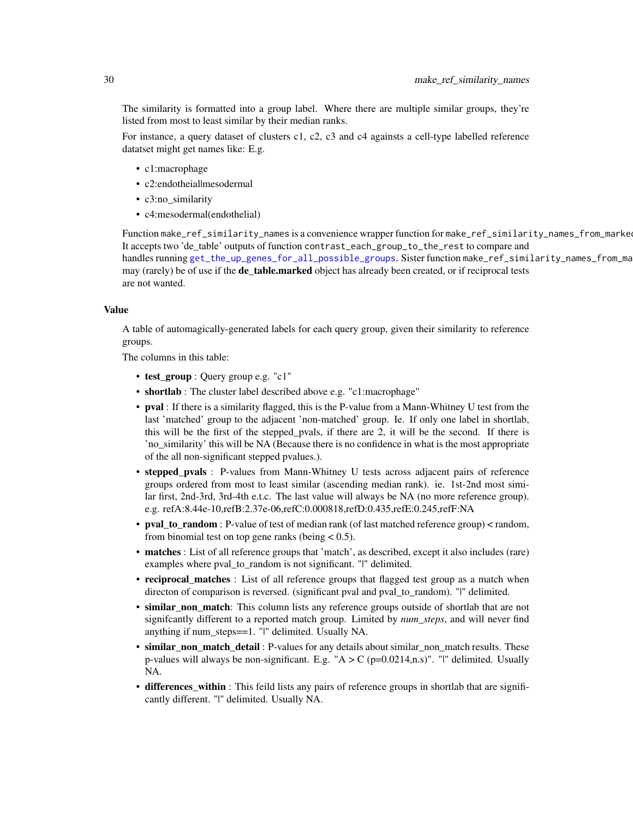The similarity is formatted into a group label. Where there are multiple similar groups, they're listed from most to least similar by their median ranks.

For instance, a query dataset of clusters c1, c2, c3 and c4 againsts a cell-type labelled reference datatset might get names like: E.g.

- c1:macrophage
- c2:endotheial|mesodermal
- c3:no\_similarity
- c4:mesodermal(endothelial)

Function make\_ref\_similarity\_names is a convenience wrapper function for make\_ref\_similarity\_names\_from\_marke It accepts two 'de\_table' outputs of function contrast\_each\_group\_to\_the\_rest to compare and handles running [get\\_the\\_up\\_genes\\_for\\_all\\_possible\\_groups](#page-19-1). Sister function make\_ref\_similarity\_names\_from\_ma may (rarely) be of use if the **de\_table.marked** object has already been created, or if reciprocal tests are not wanted.

#### Value

A table of automagically-generated labels for each query group, given their similarity to reference groups.

The columns in this table:

- test\_group : Query group e.g. "c1"
- shortlab : The cluster label described above e.g. "c1:macrophage"
- pval : If there is a similarity flagged, this is the P-value from a Mann-Whitney U test from the last 'matched' group to the adjacent 'non-matched' group. Ie. If only one label in shortlab, this will be the first of the stepped\_pvals, if there are 2, it will be the second. If there is 'no\_similarity' this will be NA (Because there is no confidence in what is the most appropriate of the all non-significant stepped pvalues.).
- stepped\_pvals : P-values from Mann-Whitney U tests across adjacent pairs of reference groups ordered from most to least similar (ascending median rank). ie. 1st-2nd most similar first, 2nd-3rd, 3rd-4th e.t.c. The last value will always be NA (no more reference group). e.g. refA:8.44e-10,refB:2.37e-06,refC:0.000818,refD:0.435,refE:0.245,refF:NA
- pval\_to\_random : P-value of test of median rank (of last matched reference group) < random, from binomial test on top gene ranks (being  $< 0.5$ ).
- matches : List of all reference groups that 'match', as described, except it also includes (rare) examples where pval\_to\_random is not significant. "|" delimited.
- reciprocal\_matches : List of all reference groups that flagged test group as a match when directon of comparison is reversed. (significant pval and pval\_to\_random). "|" delimited.
- similar\_non\_match: This column lists any reference groups outside of shortlab that are not signifcantly different to a reported match group. Limited by *num\_steps*, and will never find anything if num\_steps==1. "|" delimited. Usually NA.
- similar\_non\_match\_detail : P-values for any details about similar\_non\_match results. These p-values will always be non-significant. E.g. " $A > C$  (p=0.0214,n.s)". "I" delimited. Usually NA.
- differences\_within : This feild lists any pairs of reference groups in shortlab that are significantly different. "|" delimited. Usually NA.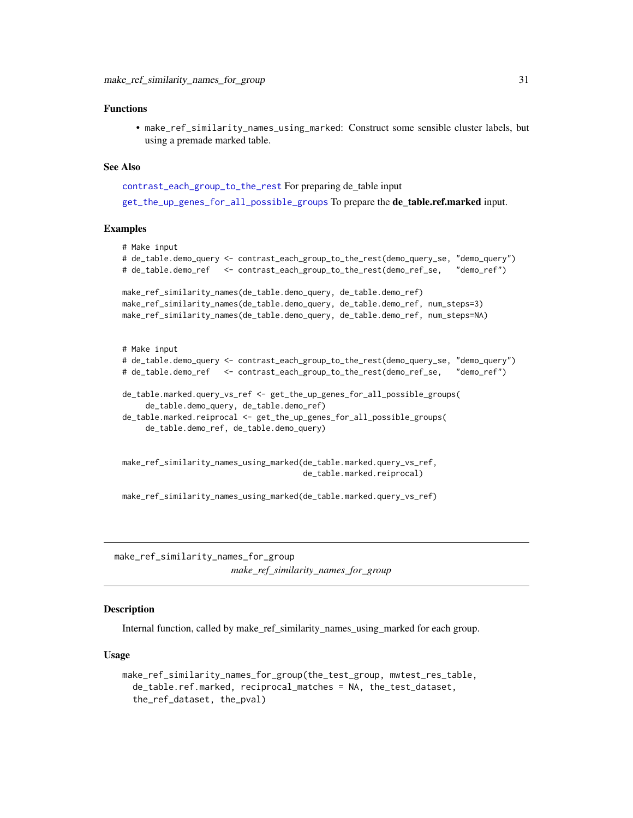#### <span id="page-30-0"></span>Functions

• make\_ref\_similarity\_names\_using\_marked: Construct some sensible cluster labels, but using a premade marked table.

#### See Also

```
contrast_each_group_to_the_rest For preparing de_table input
```
[get\\_the\\_up\\_genes\\_for\\_all\\_possible\\_groups](#page-19-1) To prepare the de\_table.ref.marked input.

## Examples

```
# Make input
# de_table.demo_query <- contrast_each_group_to_the_rest(demo_query_se, "demo_query")
# de_table.demo_ref <- contrast_each_group_to_the_rest(demo_ref_se, "demo_ref")
make_ref_similarity_names(de_table.demo_query, de_table.demo_ref)
make_ref_similarity_names(de_table.demo_query, de_table.demo_ref, num_steps=3)
make_ref_similarity_names(de_table.demo_query, de_table.demo_ref, num_steps=NA)
# Make input
# de_table.demo_query <- contrast_each_group_to_the_rest(demo_query_se, "demo_query")
# de_table.demo_ref <- contrast_each_group_to_the_rest(demo_ref_se, "demo_ref")
de_table.marked.query_vs_ref <- get_the_up_genes_for_all_possible_groups(
     de_table.demo_query, de_table.demo_ref)
de_table.marked.reiprocal <- get_the_up_genes_for_all_possible_groups(
     de_table.demo_ref, de_table.demo_query)
make_ref_similarity_names_using_marked(de_table.marked.query_vs_ref,
                                       de_table.marked.reiprocal)
```
make\_ref\_similarity\_names\_using\_marked(de\_table.marked.query\_vs\_ref)

<span id="page-30-1"></span>make\_ref\_similarity\_names\_for\_group *make\_ref\_similarity\_names\_for\_group*

#### **Description**

Internal function, called by make\_ref\_similarity\_names\_using\_marked for each group.

```
make_ref_similarity_names_for_group(the_test_group, mwtest_res_table,
  de_table.ref.marked, reciprocal_matches = NA, the_test_dataset,
  the_ref_dataset, the_pval)
```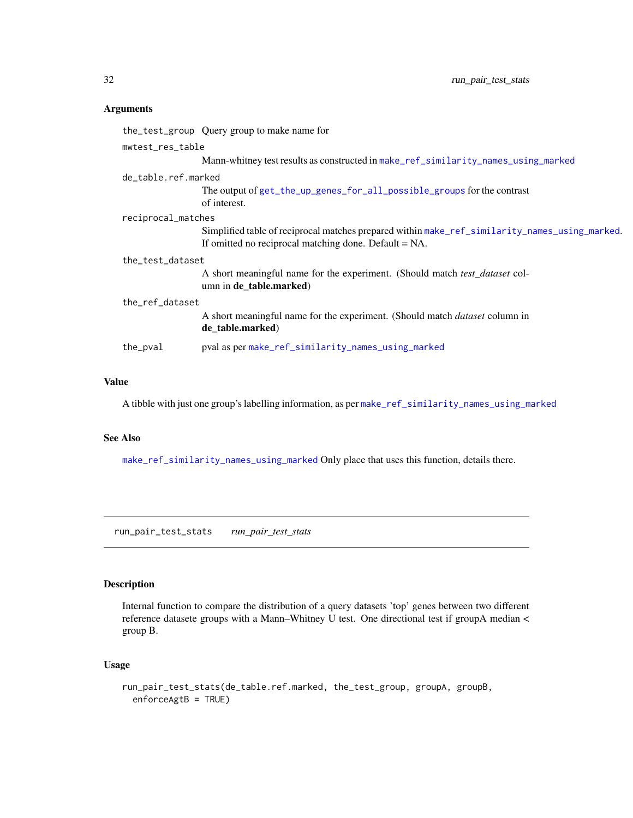<span id="page-31-0"></span>

|                  |                     | the_test_group Query group to make name for                                                                                                             |
|------------------|---------------------|---------------------------------------------------------------------------------------------------------------------------------------------------------|
|                  | mwtest_res_table    |                                                                                                                                                         |
|                  |                     | Mann-whitney test results as constructed in make_ref_similarity_names_using_marked                                                                      |
|                  | de table.ref.marked |                                                                                                                                                         |
|                  |                     | The output of get_the_up_genes_for_all_possible_groups for the contrast<br>of interest.                                                                 |
|                  | reciprocal_matches  |                                                                                                                                                         |
|                  |                     | Simplified table of reciprocal matches prepared within make_ref_similarity_names_using_marked.<br>If omitted no reciprocal matching done. Default = NA. |
| the_test_dataset |                     |                                                                                                                                                         |
|                  |                     | A short meaningful name for the experiment. (Should match test_dataset col-<br>umn in de_table.marked)                                                  |
| the ref dataset  |                     |                                                                                                                                                         |
|                  |                     | A short meaningful name for the experiment. (Should match <i>dataset</i> column in<br>de_table.marked)                                                  |
|                  | the_pval            | pval as per make_ref_similarity_names_using_marked                                                                                                      |

## Value

A tibble with just one group's labelling information, as per [make\\_ref\\_similarity\\_names\\_using\\_marked](#page-27-1)

## See Also

[make\\_ref\\_similarity\\_names\\_using\\_marked](#page-27-1) Only place that uses this function, details there.

run\_pair\_test\_stats *run\_pair\_test\_stats*

## Description

Internal function to compare the distribution of a query datasets 'top' genes between two different reference datasete groups with a Mann–Whitney U test. One directional test if groupA median < group B.

```
run_pair_test_stats(de_table.ref.marked, the_test_group, groupA, groupB,
 enforceAgtB = TRUE)
```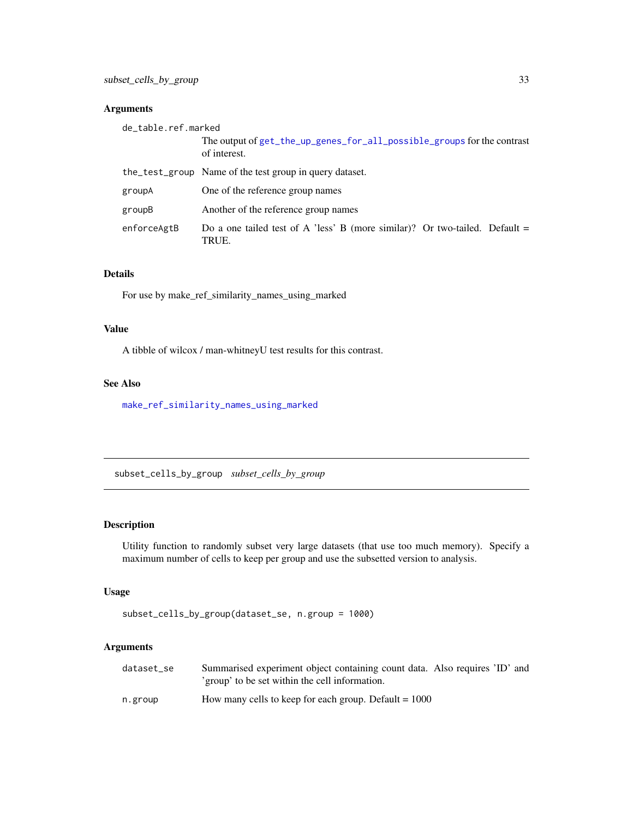<span id="page-32-0"></span>

| de_table.ref.marked |                                                                                         |
|---------------------|-----------------------------------------------------------------------------------------|
|                     | The output of get_the_up_genes_for_all_possible_groups for the contrast<br>of interest. |
|                     | the_test_group Name of the test group in query dataset.                                 |
| groupA              | One of the reference group names                                                        |
| groupB              | Another of the reference group names                                                    |
| enforceAgtB         | Do a one tailed test of A 'less' B (more similar)? Or two-tailed. Default $=$<br>TRUE.  |

## Details

For use by make\_ref\_similarity\_names\_using\_marked

## Value

A tibble of wilcox / man-whitneyU test results for this contrast.

## See Also

[make\\_ref\\_similarity\\_names\\_using\\_marked](#page-27-1)

<span id="page-32-1"></span>subset\_cells\_by\_group *subset\_cells\_by\_group*

## Description

Utility function to randomly subset very large datasets (that use too much memory). Specify a maximum number of cells to keep per group and use the subsetted version to analysis.

## Usage

subset\_cells\_by\_group(dataset\_se, n.group = 1000)

## Arguments

| dataset se | Summarised experiment object containing count data. Also requires 'ID' and |
|------------|----------------------------------------------------------------------------|
|            | 'group' to be set within the cell information.                             |
| n.group    | How many cells to keep for each group. Default $= 1000$                    |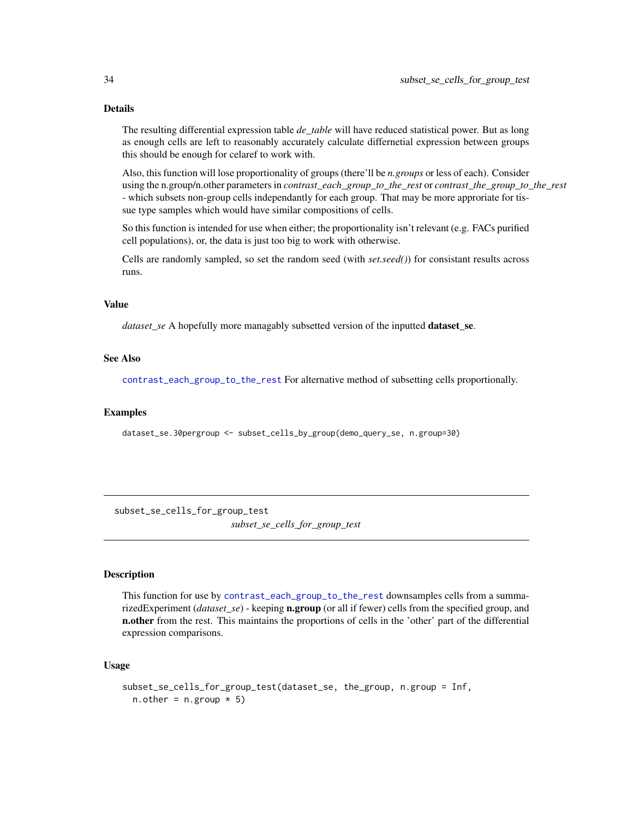## Details

The resulting differential expression table *de\_table* will have reduced statistical power. But as long as enough cells are left to reasonably accurately calculate differnetial expression between groups this should be enough for celaref to work with.

Also, this function will lose proportionality of groups (there'll be *n.groups* or less of each). Consider using the n.group/n.other parameters in *contrast\_each\_group\_to\_the\_rest* or *contrast\_the\_group\_to\_the\_rest* - which subsets non-group cells independantly for each group. That may be more approriate for tissue type samples which would have similar compositions of cells.

So this function is intended for use when either; the proportionality isn't relevant (e.g. FACs purified cell populations), or, the data is just too big to work with otherwise.

Cells are randomly sampled, so set the random seed (with *set.seed()*) for consistant results across runs.

#### Value

*dataset\_se* A hopefully more managably subsetted version of the inputted dataset\_se.

## See Also

[contrast\\_each\\_group\\_to\\_the\\_rest](#page-1-1) For alternative method of subsetting cells proportionally.

#### Examples

dataset\_se.30pergroup <- subset\_cells\_by\_group(demo\_query\_se, n.group=30)

subset\_se\_cells\_for\_group\_test *subset\_se\_cells\_for\_group\_test*

## Description

This function for use by [contrast\\_each\\_group\\_to\\_the\\_rest](#page-1-1) downsamples cells from a summarizedExperiment (*dataset\_se*) - keeping n.group (or all if fewer) cells from the specified group, and n.other from the rest. This maintains the proportions of cells in the 'other' part of the differential expression comparisons.

```
subset_se_cells_for_group_test(dataset_se, the_group, n.group = Inf,
 n.other = n.group * 5)
```
<span id="page-33-0"></span>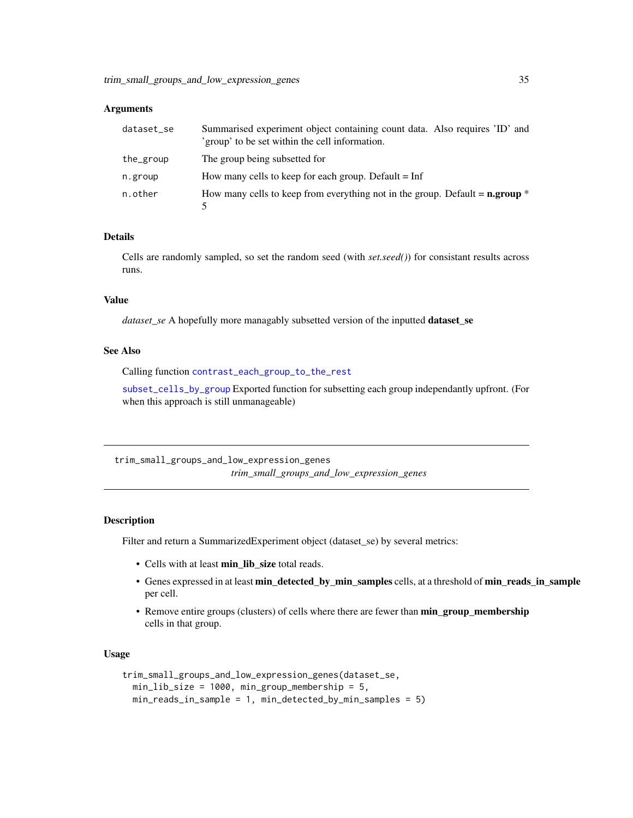<span id="page-34-0"></span>

| dataset_se | Summarised experiment object containing count data. Also requires 'ID' and<br>'group' to be set within the cell information. |
|------------|------------------------------------------------------------------------------------------------------------------------------|
| the_group  | The group being subsetted for                                                                                                |
| n.group    | How many cells to keep for each group. Default $=$ Inf                                                                       |
| n.other    | How many cells to keep from everything not in the group. Default $=$ <b>n.group</b> $*$                                      |

#### Details

Cells are randomly sampled, so set the random seed (with *set.seed()*) for consistant results across runs.

## Value

*dataset\_se* A hopefully more managably subsetted version of the inputted dataset\_se

#### See Also

Calling function [contrast\\_each\\_group\\_to\\_the\\_rest](#page-1-1)

[subset\\_cells\\_by\\_group](#page-32-1) Exported function for subsetting each group independantly upfront. (For when this approach is still unmanageable)

trim\_small\_groups\_and\_low\_expression\_genes *trim\_small\_groups\_and\_low\_expression\_genes*

#### Description

Filter and return a SummarizedExperiment object (dataset\_se) by several metrics:

- Cells with at least min lib size total reads.
- Genes expressed in at least min\_detected\_by\_min\_samples cells, at a threshold of min\_reads\_in\_sample per cell.
- Remove entire groups (clusters) of cells where there are fewer than min\_group\_membership cells in that group.

```
trim_small_groups_and_low_expression_genes(dataset_se,
 min_lib_size = 1000, min_group_membership = 5,
 min_reads_in_sample = 1, min_detected_by_min_samples = 5)
```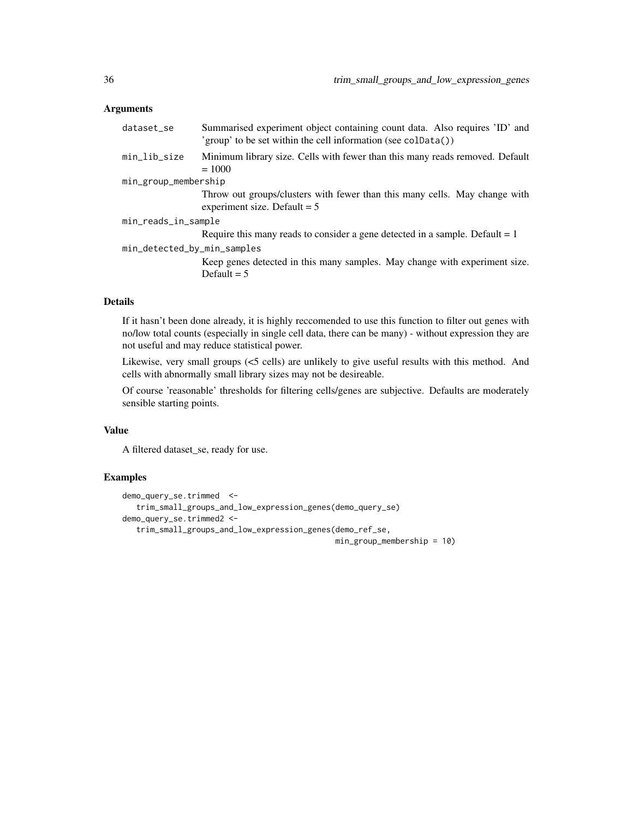| dataset_se                  | Summarised experiment object containing count data. Also requires 'ID' and<br>'group' to be set within the cell information (see coldata()) |
|-----------------------------|---------------------------------------------------------------------------------------------------------------------------------------------|
| min_lib_size                | Minimum library size. Cells with fewer than this many reads removed. Default<br>$= 1000$                                                    |
| min_group_membership        |                                                                                                                                             |
|                             | Throw out groups/clusters with fewer than this many cells. May change with<br>experiment size. Default $= 5$                                |
| min_reads_in_sample         |                                                                                                                                             |
|                             | Require this many reads to consider a gene detected in a sample. Default $= 1$                                                              |
| min_detected_by_min_samples |                                                                                                                                             |
|                             | Keep genes detected in this many samples. May change with experiment size.<br>Default $= 5$                                                 |

## Details

If it hasn't been done already, it is highly reccomended to use this function to filter out genes with no/low total counts (especially in single cell data, there can be many) - without expression they are not useful and may reduce statistical power.

Likewise, very small groups (<5 cells) are unlikely to give useful results with this method. And cells with abnormally small library sizes may not be desireable.

Of course 'reasonable' thresholds for filtering cells/genes are subjective. Defaults are moderately sensible starting points.

#### Value

A filtered dataset\_se, ready for use.

## Examples

```
demo_query_se.trimmed <-
  trim_small_groups_and_low_expression_genes(demo_query_se)
demo_query_se.trimmed2 <-
  trim_small_groups_and_low_expression_genes(demo_ref_se,
```

```
min_group_membership = 10)
```